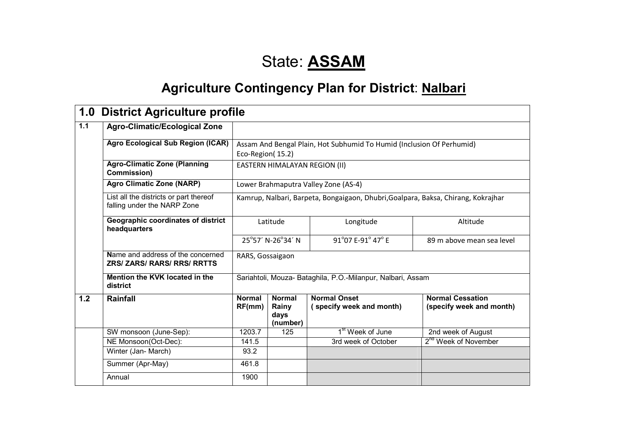# State: **ASSAM**

# **Agriculture Contingency Plan for District: Nalbari**

| 1.0 | <b>District Agriculture profile</b>                                     |                         |                                            |                                                                                   |                                                     |
|-----|-------------------------------------------------------------------------|-------------------------|--------------------------------------------|-----------------------------------------------------------------------------------|-----------------------------------------------------|
| 1.1 | <b>Agro-Climatic/Ecological Zone</b>                                    |                         |                                            |                                                                                   |                                                     |
|     | <b>Agro Ecological Sub Region (ICAR)</b>                                | Eco-Region(15.2)        |                                            | Assam And Bengal Plain, Hot Subhumid To Humid (Inclusion Of Perhumid)             |                                                     |
|     | <b>Agro-Climatic Zone (Planning</b><br><b>Commission)</b>               |                         | EASTERN HIMALAYAN REGION (II)              |                                                                                   |                                                     |
|     | <b>Agro Climatic Zone (NARP)</b>                                        |                         |                                            | Lower Brahmaputra Valley Zone (AS-4)                                              |                                                     |
|     | List all the districts or part thereof<br>falling under the NARP Zone   |                         |                                            | Kamrup, Nalbari, Barpeta, Bongaigaon, Dhubri, Goalpara, Baksa, Chirang, Kokrajhar |                                                     |
|     | Geographic coordinates of district<br>headquarters                      |                         | Latitude                                   | Longitude                                                                         | Altitude                                            |
|     |                                                                         |                         | 25°57′ N-26°34′ N                          | 91°07 E-91° 47° E                                                                 | 89 m above mean sea level                           |
|     | Name and address of the concerned<br><b>ZRS/ ZARS/ RARS/ RRS/ RRTTS</b> | RARS, Gossaigaon        |                                            |                                                                                   |                                                     |
|     | Mention the KVK located in the<br>district                              |                         |                                            | Sariahtoli, Mouza- Bataghila, P.O.-Milanpur, Nalbari, Assam                       |                                                     |
| 1.2 | <b>Rainfall</b>                                                         | <b>Normal</b><br>RF(mm) | <b>Normal</b><br>Rainy<br>days<br>(number) | <b>Normal Onset</b><br>(specify week and month)                                   | <b>Normal Cessation</b><br>(specify week and month) |
|     | SW monsoon (June-Sep):                                                  | 1203.7                  | 125                                        | 1 <sup>st</sup> Week of June                                                      | 2nd week of August                                  |
|     | NE Monsoon(Oct-Dec):                                                    | 141.5                   |                                            | 3rd week of October                                                               | 2 <sup>nd</sup> Week of November                    |
|     | Winter (Jan- March)                                                     | 93.2                    |                                            |                                                                                   |                                                     |
|     | Summer (Apr-May)                                                        | 461.8                   |                                            |                                                                                   |                                                     |
|     | Annual                                                                  | 1900                    |                                            |                                                                                   |                                                     |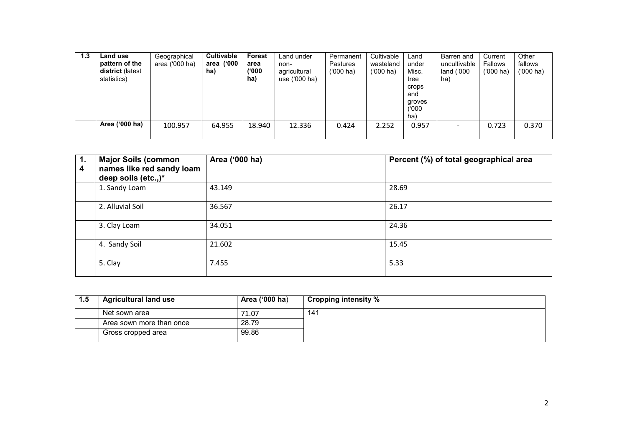| 1.3 | <b>Land use</b><br>pattern of the<br>district (latest<br>statistics) | Geographical<br>area ('000 ha) | <b>Cultivable</b><br>area ('000<br>ha) | Forest<br>area<br>(1000)<br>ha) | Land under<br>non-<br>agricultural<br>use ('000 ha) | Permanent<br><b>Pastures</b><br>$(000)$ ha) | Cultivable<br>wasteland<br>$(000)$ ha) | Land<br>under<br>Misc.<br>tree<br>crops<br>and<br>groves<br>000')<br>ha) | Barren and<br>uncultivable<br>land $(000)$<br>ha) | Current<br><b>Fallows</b><br>$(000)$ ha) | Other<br>fallows<br>$(000)$ ha) |
|-----|----------------------------------------------------------------------|--------------------------------|----------------------------------------|---------------------------------|-----------------------------------------------------|---------------------------------------------|----------------------------------------|--------------------------------------------------------------------------|---------------------------------------------------|------------------------------------------|---------------------------------|
|     | Area ('000 ha)                                                       | 100.957                        | 64.955                                 | 18.940                          | 12.336                                              | 0.424                                       | 2.252                                  | 0.957                                                                    |                                                   | 0.723                                    | 0.370                           |

| $\overline{1}$ .<br>4 | <b>Major Soils (common</b><br>names like red sandy loam<br>deep soils (etc.,)* | Area ('000 ha) | Percent (%) of total geographical area |
|-----------------------|--------------------------------------------------------------------------------|----------------|----------------------------------------|
|                       | 1. Sandy Loam                                                                  | 43.149         | 28.69                                  |
|                       | 2. Alluvial Soil                                                               | 36.567         | 26.17                                  |
|                       | 3. Clay Loam                                                                   | 34.051         | 24.36                                  |
|                       | 4. Sandy Soil                                                                  | 21.602         | 15.45                                  |
|                       | 5. Clay                                                                        | 7.455          | 5.33                                   |

| 1.5 | <b>Agricultural land use</b> | Area ('000 ha) | Cropping intensity % |
|-----|------------------------------|----------------|----------------------|
|     | Net sown area                | 71.07          | 141                  |
|     | Area sown more than once     | 28.79          |                      |
|     | Gross cropped area           | 99.86          |                      |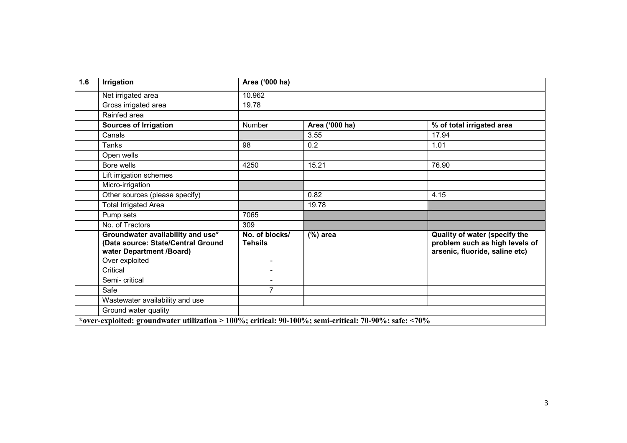| 1.6 | <b>Irrigation</b>                                                                                    | Area ('000 ha)                   |                |                                                                                                   |
|-----|------------------------------------------------------------------------------------------------------|----------------------------------|----------------|---------------------------------------------------------------------------------------------------|
|     | Net irrigated area                                                                                   | 10.962                           |                |                                                                                                   |
|     | Gross irrigated area                                                                                 | 19.78                            |                |                                                                                                   |
|     | Rainfed area                                                                                         |                                  |                |                                                                                                   |
|     | <b>Sources of Irrigation</b>                                                                         | Number                           | Area ('000 ha) | % of total irrigated area                                                                         |
|     | Canals                                                                                               |                                  | 3.55           | 17.94                                                                                             |
|     | Tanks                                                                                                | 98                               | 0.2            | 1.01                                                                                              |
|     | Open wells                                                                                           |                                  |                |                                                                                                   |
|     | Bore wells                                                                                           | 4250                             | 15.21          | 76.90                                                                                             |
|     | Lift irrigation schemes                                                                              |                                  |                |                                                                                                   |
|     | Micro-irrigation                                                                                     |                                  |                |                                                                                                   |
|     | Other sources (please specify)                                                                       |                                  | 0.82           | 4.15                                                                                              |
|     | <b>Total Irrigated Area</b>                                                                          |                                  | 19.78          |                                                                                                   |
|     | Pump sets                                                                                            | 7065                             |                |                                                                                                   |
|     | No. of Tractors                                                                                      | 309                              |                |                                                                                                   |
|     | Groundwater availability and use*<br>(Data source: State/Central Ground<br>water Department /Board)  | No. of blocks/<br><b>Tehsils</b> | $(\%)$ area    | Quality of water (specify the<br>problem such as high levels of<br>arsenic, fluoride, saline etc) |
|     | Over exploited                                                                                       | $\qquad \qquad \blacksquare$     |                |                                                                                                   |
|     | Critical                                                                                             | $\overline{\phantom{0}}$         |                |                                                                                                   |
|     | Semi- critical                                                                                       | $\overline{\phantom{0}}$         |                |                                                                                                   |
|     | Safe                                                                                                 | $\overline{7}$                   |                |                                                                                                   |
|     | Wastewater availability and use                                                                      |                                  |                |                                                                                                   |
|     | Ground water quality                                                                                 |                                  |                |                                                                                                   |
|     | over-exploited: groundwater utilization > 100%; critical: 90-100%; semi-critical: 70-90%; safe: <70% |                                  |                |                                                                                                   |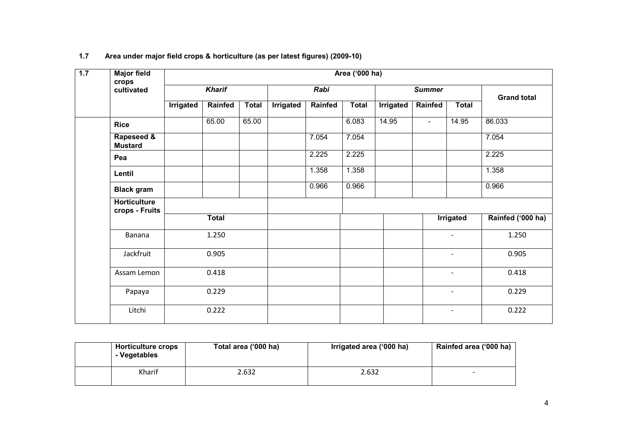| 1.7 | <b>Major field</b><br>crops           | Area ('000 ha) |               |              |           |         |              |           |                          |                          |                   |
|-----|---------------------------------------|----------------|---------------|--------------|-----------|---------|--------------|-----------|--------------------------|--------------------------|-------------------|
|     | cultivated                            |                | <b>Kharif</b> |              |           | Rabi    |              |           | <b>Summer</b>            | <b>Grand total</b>       |                   |
|     |                                       | Irrigated      | Rainfed       | <b>Total</b> | Irrigated | Rainfed | <b>Total</b> | Irrigated | Rainfed                  | <b>Total</b>             |                   |
|     | <b>Rice</b>                           |                | 65.00         | 65.00        |           |         | 6.083        | 14.95     | $\overline{\phantom{a}}$ | 14.95                    | 86.033            |
|     | Rapeseed &<br><b>Mustard</b>          |                |               |              |           | 7.054   | 7.054        |           |                          |                          | 7.054             |
|     | Pea                                   |                |               |              |           | 2.225   | 2.225        |           |                          |                          | 2.225             |
|     | Lentil                                |                |               |              |           | 1.358   | 1.358        |           |                          |                          | 1.358             |
|     | <b>Black gram</b>                     |                |               |              |           | 0.966   | 0.966        |           |                          |                          | 0.966             |
|     | <b>Horticulture</b><br>crops - Fruits |                |               |              |           |         |              |           |                          |                          |                   |
|     |                                       |                | <b>Total</b>  |              |           |         |              |           |                          | Irrigated                | Rainfed ('000 ha) |
|     | Banana                                |                | 1.250         |              |           |         |              |           |                          | $\mathbf{r}$             | 1.250             |
|     | Jackfruit                             |                | 0.905         |              |           |         |              |           |                          | $\overline{\phantom{a}}$ | 0.905             |
|     | Assam Lemon                           |                | 0.418         |              |           |         |              |           |                          | $\blacksquare$           | 0.418             |
|     | Papaya                                |                | 0.229         |              |           |         |              |           |                          | $\overline{\phantom{a}}$ | 0.229             |
|     | Litchi                                |                | 0.222         |              |           |         |              |           |                          |                          | 0.222             |

#### 1.7 Area under major field crops & horticulture (as per latest figures) (2009-10)

| <b>Horticulture crops</b><br>- Vegetables | Total area ('000 ha) | Irrigated area ('000 ha) | Rainfed area ('000 ha) |
|-------------------------------------------|----------------------|--------------------------|------------------------|
| Kharif                                    | 2.632                | 2.632                    | -                      |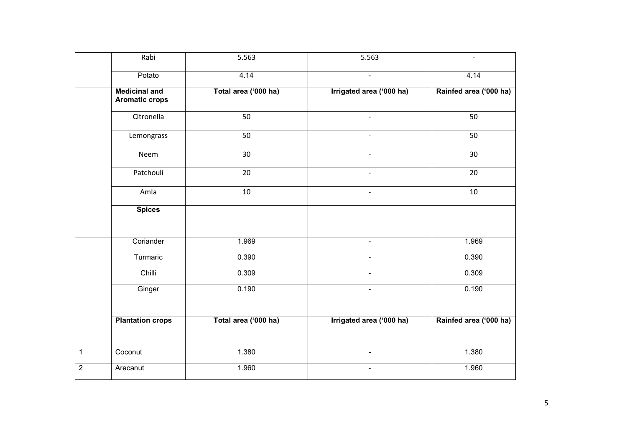|                | Rabi                                          | 5.563                | 5.563                    | $\blacksquare$         |
|----------------|-----------------------------------------------|----------------------|--------------------------|------------------------|
|                | Potato                                        | 4.14                 | $\blacksquare$           | 4.14                   |
|                | <b>Medicinal and</b><br><b>Aromatic crops</b> | Total area ('000 ha) | Irrigated area ('000 ha) | Rainfed area ('000 ha) |
|                | Citronella                                    | 50                   |                          | 50                     |
|                | Lemongrass                                    | 50                   |                          | 50                     |
|                | Neem                                          | 30                   |                          | 30                     |
|                | Patchouli                                     | 20                   | $\overline{a}$           | 20                     |
|                | Amla                                          | $10\,$               | $\overline{a}$           | 10                     |
|                | <b>Spices</b>                                 |                      |                          |                        |
|                | Coriander                                     | 1.969                | $\blacksquare$           | 1.969                  |
|                | Turmaric                                      | 0.390                |                          | 0.390                  |
|                | Chilli                                        | 0.309                | $\blacksquare$           | 0.309                  |
|                | Ginger                                        | 0.190                | $\overline{\phantom{a}}$ | 0.190                  |
|                | <b>Plantation crops</b>                       | Total area ('000 ha) | Irrigated area ('000 ha) | Rainfed area ('000 ha) |
| $\mathbf{1}$   | Coconut                                       | 1.380                | $\blacksquare$           | 1.380                  |
| $\overline{2}$ | Arecanut                                      | 1.960                | $\blacksquare$           | 1.960                  |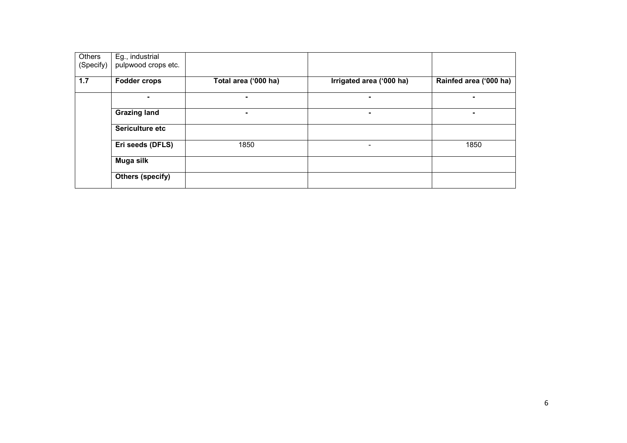| Others<br>(Specify) | Eg., industrial<br>pulpwood crops etc. |                      |                          |                        |
|---------------------|----------------------------------------|----------------------|--------------------------|------------------------|
| 1.7                 | <b>Fodder crops</b>                    | Total area ('000 ha) | Irrigated area ('000 ha) | Rainfed area ('000 ha) |
|                     | $\blacksquare$                         | -                    |                          |                        |
|                     | <b>Grazing land</b>                    | $\blacksquare$       |                          |                        |
|                     | Sericulture etc                        |                      |                          |                        |
|                     | Eri seeds (DFLS)                       | 1850                 |                          | 1850                   |
|                     | Muga silk                              |                      |                          |                        |
|                     | <b>Others (specify)</b>                |                      |                          |                        |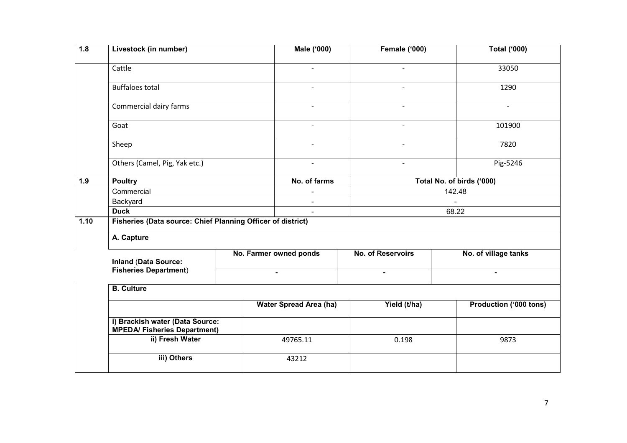| 1.8  | Livestock (in number)                                                  |  | <b>Male ('000)</b>            | <b>Female ('000)</b> | <b>Total ('000)</b>       |  |  |  |  |
|------|------------------------------------------------------------------------|--|-------------------------------|----------------------|---------------------------|--|--|--|--|
|      | Cattle                                                                 |  | $\blacksquare$                | $\blacksquare$       | 33050                     |  |  |  |  |
|      | <b>Buffaloes total</b>                                                 |  | $\blacksquare$                |                      | 1290                      |  |  |  |  |
|      | Commercial dairy farms                                                 |  | $\blacksquare$                | $\blacksquare$       | $\blacksquare$            |  |  |  |  |
|      | Goat                                                                   |  | $\blacksquare$                | $\blacksquare$       | 101900                    |  |  |  |  |
|      | Sheep                                                                  |  |                               |                      | 7820                      |  |  |  |  |
|      | Others (Camel, Pig, Yak etc.)                                          |  | $\blacksquare$                | $\blacksquare$       | Pig-5246                  |  |  |  |  |
| 1.9  | <b>Poultry</b>                                                         |  | No. of farms                  |                      | Total No. of birds ('000) |  |  |  |  |
|      | Commercial                                                             |  |                               |                      | 142.48                    |  |  |  |  |
|      | Backyard                                                               |  | $\blacksquare$                |                      |                           |  |  |  |  |
|      | <b>Duck</b>                                                            |  | $\blacksquare$                |                      | 68.22                     |  |  |  |  |
| 1.10 | Fisheries (Data source: Chief Planning Officer of district)            |  |                               |                      |                           |  |  |  |  |
|      | A. Capture                                                             |  |                               |                      |                           |  |  |  |  |
|      | <b>Inland (Data Source:</b>                                            |  | No. Farmer owned ponds        | No. of Reservoirs    | No. of village tanks      |  |  |  |  |
|      | <b>Fisheries Department)</b>                                           |  | $\blacksquare$                | $\blacksquare$       | $\blacksquare$            |  |  |  |  |
|      | <b>B.</b> Culture                                                      |  |                               |                      |                           |  |  |  |  |
|      |                                                                        |  | <b>Water Spread Area (ha)</b> | Yield (t/ha)         | Production ('000 tons)    |  |  |  |  |
|      | i) Brackish water (Data Source:<br><b>MPEDA/ Fisheries Department)</b> |  |                               |                      |                           |  |  |  |  |
|      | ii) Fresh Water                                                        |  | 49765.11                      | 0.198                | 9873                      |  |  |  |  |
|      | iii) Others                                                            |  | 43212                         |                      |                           |  |  |  |  |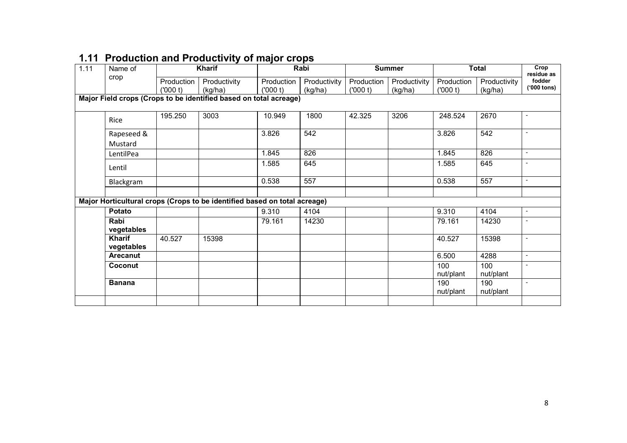| 1.11 | Name of                     | Kharif                |                                                                           |                       | Rabi                    |                       | <b>Summer</b>           |                       | <b>Total</b>            |                                     |
|------|-----------------------------|-----------------------|---------------------------------------------------------------------------|-----------------------|-------------------------|-----------------------|-------------------------|-----------------------|-------------------------|-------------------------------------|
|      | crop                        | Production<br>(000 t) | Productivity<br>(kg/ha)                                                   | Production<br>(000 t) | Productivity<br>(kg/ha) | Production<br>(000 t) | Productivity<br>(kg/ha) | Production<br>(000 t) | Productivity<br>(kg/ha) | residue as<br>fodder<br>('000 tons) |
|      |                             |                       | Major Field crops (Crops to be identified based on total acreage)         |                       |                         |                       |                         |                       |                         |                                     |
|      | Rice                        | 195.250               | 3003                                                                      | 10.949                | 1800                    | 42.325                | 3206                    | 248.524               | 2670                    | $\overline{\phantom{a}}$            |
|      | Rapeseed &<br>Mustard       |                       |                                                                           | 3.826                 | 542                     |                       |                         | 3.826                 | 542                     | $\sim$                              |
|      | LentilPea                   |                       |                                                                           | 1.845                 | 826                     |                       |                         | 1.845                 | 826                     | $\sim$                              |
|      | Lentil                      |                       |                                                                           | 1.585                 | 645                     |                       |                         | 1.585                 | 645                     |                                     |
|      | Blackgram                   |                       |                                                                           | 0.538                 | 557                     |                       |                         | 0.538                 | 557                     | $\overline{\phantom{a}}$            |
|      |                             |                       | Major Horticultural crops (Crops to be identified based on total acreage) |                       |                         |                       |                         |                       |                         |                                     |
|      | <b>Potato</b>               |                       |                                                                           | 9.310                 | 4104                    |                       |                         | 9.310                 | 4104                    | $\blacksquare$                      |
|      | Rabi<br>vegetables          |                       |                                                                           | 79.161                | 14230                   |                       |                         | 79.161                | 14230                   | $\sim$                              |
|      | <b>Kharif</b><br>vegetables | 40.527                | 15398                                                                     |                       |                         |                       |                         | 40.527                | 15398                   |                                     |
|      | <b>Arecanut</b>             |                       |                                                                           |                       |                         |                       |                         | 6.500                 | 4288                    | $\overline{\phantom{a}}$            |
|      | Coconut                     |                       |                                                                           |                       |                         |                       |                         | 100<br>nut/plant      | 100<br>nut/plant        | $\sim$                              |
|      | <b>Banana</b>               |                       |                                                                           |                       |                         |                       |                         | 190<br>nut/plant      | 190<br>nut/plant        | $\sim$                              |
|      |                             |                       |                                                                           |                       |                         |                       |                         |                       |                         |                                     |

# 1.11 Production and Productivity of major crops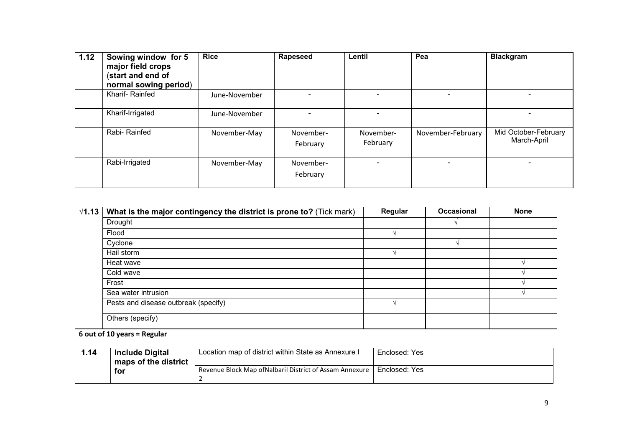| 1.12 | Sowing window for 5<br>major field crops<br>(start and end of<br>normal sowing period) | <b>Rice</b>   | Rapeseed              | Lentil                | Pea               | <b>Blackgram</b>                    |
|------|----------------------------------------------------------------------------------------|---------------|-----------------------|-----------------------|-------------------|-------------------------------------|
|      | Kharif-Rainfed                                                                         | June-November |                       |                       |                   |                                     |
|      | Kharif-Irrigated                                                                       | June-November |                       |                       |                   |                                     |
|      | Rabi-Rainfed                                                                           | November-May  | November-<br>February | November-<br>February | November-February | Mid October-February<br>March-April |
|      | Rabi-Irrigated                                                                         | November-May  | November-<br>February |                       | ۰                 | $\overline{\phantom{0}}$            |

| $\sqrt{1.13}$ | What is the major contingency the district is prone to? (Tick mark) | Regular | <b>Occasional</b> | <b>None</b> |
|---------------|---------------------------------------------------------------------|---------|-------------------|-------------|
|               | Drought                                                             |         |                   |             |
|               | Flood                                                               |         |                   |             |
|               | Cyclone                                                             |         |                   |             |
|               | Hail storm                                                          |         |                   |             |
|               | Heat wave                                                           |         |                   |             |
|               | Cold wave                                                           |         |                   |             |
|               | Frost                                                               |         |                   |             |
|               | Sea water intrusion                                                 |         |                   |             |
|               | Pests and disease outbreak (specify)                                |         |                   |             |
|               | Others (specify)                                                    |         |                   |             |

6 out of 10 years = Regular

| 1.14 | <b>Include Digital</b> | Location map of district within State as Annexure I      | Enclosed: Yes |
|------|------------------------|----------------------------------------------------------|---------------|
|      | maps of the district   |                                                          |               |
|      | for                    | Revenue Block Map of Nalbaril District of Assam Annexure | Enclosed: Yes |
|      |                        |                                                          |               |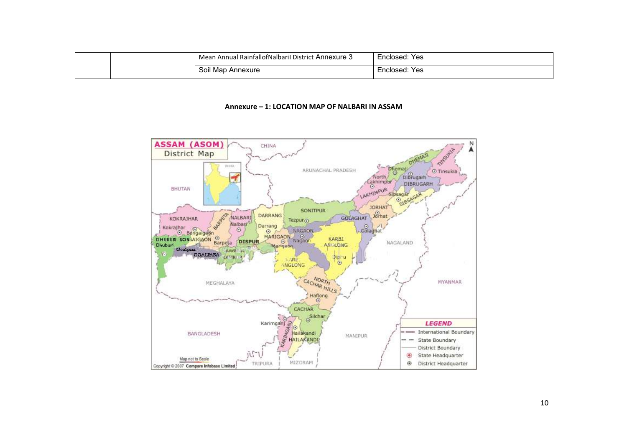|  | Mean Annual RainfallofNalbaril District Annexure 3 | Yes<br>Enclosed: |
|--|----------------------------------------------------|------------------|
|  | Soil Map<br>Annexure                               | Yes<br>Enclosed: |

#### Annexure – 1: LOCATION MAP OF NALBARI IN ASSAM

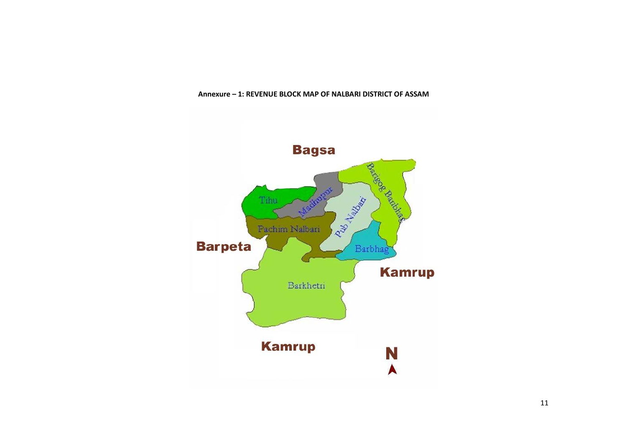#### Annexure – 1: REVENUE BLOCK MAP OF NALBARI DISTRICT OF ASSAM

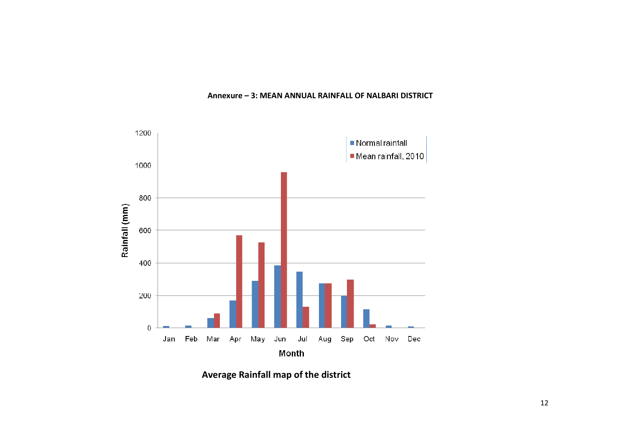

#### Annexure – 3: MEAN ANNUAL RAINFALL OF NALBARI DISTRICT

Average Rainfall map of the district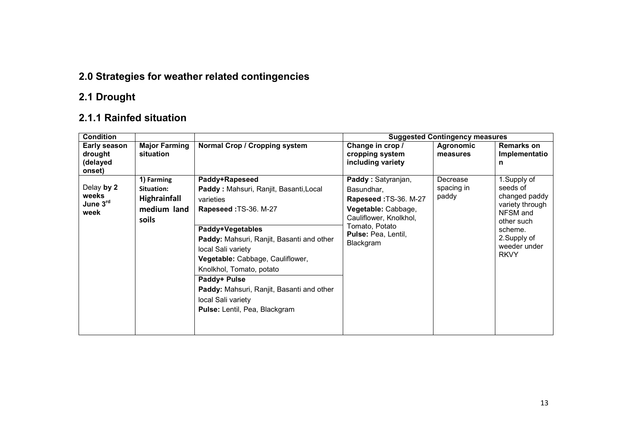## 2.0 Strategies for weather related contingencies

### 2.1 Drought

### 2.1.1 Rainfed situation

| <b>Condition</b>                              |                                                                         |                                                                                                                                                                                                                                                                                                                                                                           | <b>Suggested Contingency measures</b>                                                                                                                                   |                                 |                                                                                                                                                 |  |
|-----------------------------------------------|-------------------------------------------------------------------------|---------------------------------------------------------------------------------------------------------------------------------------------------------------------------------------------------------------------------------------------------------------------------------------------------------------------------------------------------------------------------|-------------------------------------------------------------------------------------------------------------------------------------------------------------------------|---------------------------------|-------------------------------------------------------------------------------------------------------------------------------------------------|--|
| Early season<br>drought<br>(delayed<br>onset) | <b>Major Farming</b><br>situation                                       | Normal Crop / Cropping system                                                                                                                                                                                                                                                                                                                                             | Change in crop /<br>cropping system<br>including variety                                                                                                                | <b>Agronomic</b><br>measures    | <b>Remarks on</b><br>Implementatio<br>n                                                                                                         |  |
| Delay by 2<br>weeks<br>June 3rd<br>week       | 1) Farming<br>Situation:<br><b>Highrainfall</b><br>medium land<br>soils | Paddy+Rapeseed<br>Paddy: Mahsuri, Ranjit, Basanti, Local<br>varieties<br>Rapeseed: TS-36. M-27<br>Paddy+Vegetables<br>Paddy: Mahsuri, Ranjit, Basanti and other<br>local Sali variety<br>Vegetable: Cabbage, Cauliflower,<br>Knolkhol, Tomato, potato<br>Paddy+ Pulse<br>Paddy: Mahsuri, Ranjit, Basanti and other<br>local Sali variety<br>Pulse: Lentil, Pea, Blackgram | Paddy: Satyranjan,<br>Basundhar,<br>Rapeseed: TS-36. M-27<br>Vegetable: Cabbage,<br>Cauliflower, Knolkhol,<br>Tomato, Potato<br><b>Pulse: Pea, Lentil,</b><br>Blackgram | Decrease<br>spacing in<br>paddy | 1.Supply of<br>seeds of<br>changed paddy<br>variety through<br>NFSM and<br>other such<br>scheme.<br>2. Supply of<br>weeder under<br><b>RKVY</b> |  |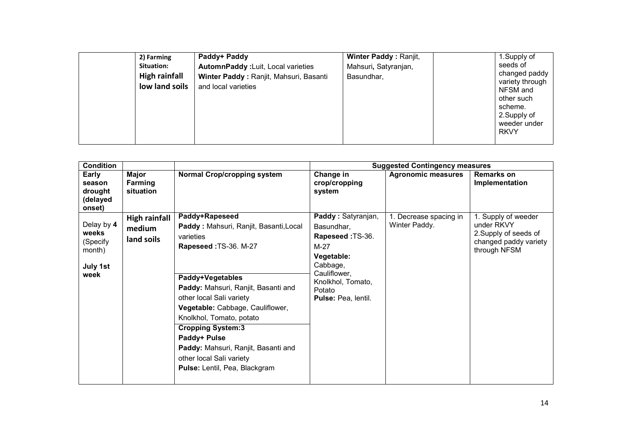| 2) Farming<br>Situation:<br><b>High rainfall</b><br>low land soils | Paddy+ Paddy<br>AutomnPaddy : Luit, Local varieties<br>Winter Paddy: Ranjit, Mahsuri, Basanti<br>and local varieties | Winter Paddy: Ranjit,<br>Mahsuri, Satyranjan,<br>Basundhar, |  | 1. Supply of<br>seeds of<br>changed paddy<br>variety through<br>NFSM and<br>other such<br>scheme.<br>2. Supply of<br>weeder under<br><b>RKVY</b> |
|--------------------------------------------------------------------|----------------------------------------------------------------------------------------------------------------------|-------------------------------------------------------------|--|--------------------------------------------------------------------------------------------------------------------------------------------------|
|--------------------------------------------------------------------|----------------------------------------------------------------------------------------------------------------------|-------------------------------------------------------------|--|--------------------------------------------------------------------------------------------------------------------------------------------------|

| <b>Condition</b>                                              |                                              |                                                                                                                                                                                                                                                                                                                                                                                                       |                                                                                                                                                                | <b>Suggested Contingency measures</b>   |                                                                                                     |
|---------------------------------------------------------------|----------------------------------------------|-------------------------------------------------------------------------------------------------------------------------------------------------------------------------------------------------------------------------------------------------------------------------------------------------------------------------------------------------------------------------------------------------------|----------------------------------------------------------------------------------------------------------------------------------------------------------------|-----------------------------------------|-----------------------------------------------------------------------------------------------------|
| Early<br>season<br>drought<br>(delayed<br>onset)              | <b>Major</b><br>Farming<br>situation         | Normal Crop/cropping system                                                                                                                                                                                                                                                                                                                                                                           | Change in<br>crop/cropping<br>system                                                                                                                           | <b>Agronomic measures</b>               | <b>Remarks on</b><br>Implementation                                                                 |
| Delay by 4<br>weeks<br>(Specify<br>month)<br>July 1st<br>week | <b>High rainfall</b><br>medium<br>land soils | Paddy+Rapeseed<br>Paddy: Mahsuri, Ranjit, Basanti, Local<br>varieties<br>Rapeseed: TS-36. M-27<br>Paddy+Vegetables<br>Paddy: Mahsuri, Ranjit, Basanti and<br>other local Sali variety<br>Vegetable: Cabbage, Cauliflower,<br>Knolkhol, Tomato, potato<br><b>Cropping System:3</b><br>Paddy+ Pulse<br>Paddy: Mahsuri, Ranjit, Basanti and<br>other local Sali variety<br>Pulse: Lentil, Pea, Blackgram | Paddy: Satyranjan,<br>Basundhar,<br>Rapeseed: TS-36.<br>$M-27$<br>Vegetable:<br>Cabbage,<br>Cauliflower,<br>Knolkhol, Tomato,<br>Potato<br>Pulse: Pea, lentil. | 1. Decrease spacing in<br>Winter Paddy. | 1. Supply of weeder<br>under RKVY<br>2. Supply of seeds of<br>changed paddy variety<br>through NFSM |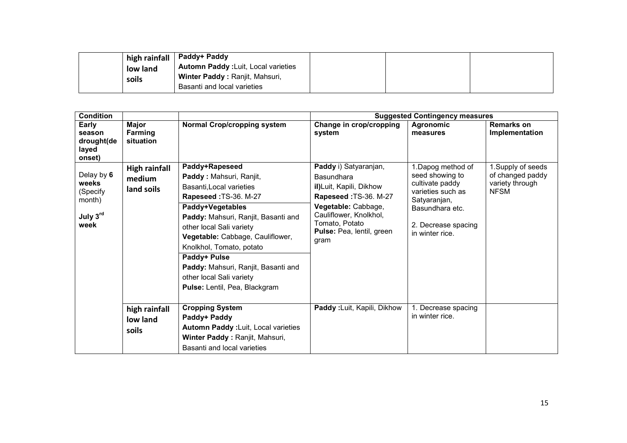|       |          | ∣ high rainfall │ Paddy+ Paddy             |  |  |
|-------|----------|--------------------------------------------|--|--|
| soils | low land | <b>Automn Paddy: Luit, Local varieties</b> |  |  |
|       |          | Winter Paddy: Ranjit, Mahsuri,             |  |  |
|       |          | Basanti and local varieties                |  |  |

| <b>Condition</b>                                              |                                              |                                                                                                                                                                                                                                                                                                                                                                           | <b>Suggested Contingency measures</b>                                                                                                                                                                  |                                                                                                                                                           |                                                                          |  |
|---------------------------------------------------------------|----------------------------------------------|---------------------------------------------------------------------------------------------------------------------------------------------------------------------------------------------------------------------------------------------------------------------------------------------------------------------------------------------------------------------------|--------------------------------------------------------------------------------------------------------------------------------------------------------------------------------------------------------|-----------------------------------------------------------------------------------------------------------------------------------------------------------|--------------------------------------------------------------------------|--|
| Early<br>season<br>drought(de<br>layed<br>onset)              | <b>Major</b><br><b>Farming</b><br>situation  | Normal Crop/cropping system                                                                                                                                                                                                                                                                                                                                               | Change in crop/cropping<br>system                                                                                                                                                                      | <b>Agronomic</b><br>measures                                                                                                                              | <b>Remarks on</b><br>Implementation                                      |  |
| Delay by 6<br>weeks<br>(Specify<br>month)<br>July 3rd<br>week | <b>High rainfall</b><br>medium<br>land soils | Paddy+Rapeseed<br>Paddy: Mahsuri, Ranjit,<br>Basanti, Local varieties<br>Rapeseed: TS-36. M-27<br>Paddy+Vegetables<br>Paddy: Mahsuri, Ranjit, Basanti and<br>other local Sali variety<br>Vegetable: Cabbage, Cauliflower,<br>Knolkhol, Tomato, potato<br>Paddy+ Pulse<br>Paddy: Mahsuri, Ranjit, Basanti and<br>other local Sali variety<br>Pulse: Lentil, Pea, Blackgram | Paddy i) Satyaranjan,<br><b>Basundhara</b><br>il)Luit, Kapili, Dikhow<br>Rapeseed: TS-36. M-27<br>Vegetable: Cabbage,<br>Cauliflower, Knolkhol,<br>Tomato, Potato<br>Pulse: Pea, lentil, green<br>gram | 1.Dapog method of<br>seed showing to<br>cultivate paddy<br>varieties such as<br>Satyaranjan,<br>Basundhara etc.<br>2. Decrease spacing<br>in winter rice. | 1. Supply of seeds<br>of changed paddy<br>variety through<br><b>NFSM</b> |  |
|                                                               | high rainfall<br>low land<br>soils           | <b>Cropping System</b><br>Paddy+ Paddy<br>Automn Paddy : Luit, Local varieties<br>Winter Paddy: Ranjit, Mahsuri,<br>Basanti and local varieties                                                                                                                                                                                                                           | <b>Paddy: Luit, Kapili, Dikhow</b>                                                                                                                                                                     | 1. Decrease spacing<br>in winter rice.                                                                                                                    |                                                                          |  |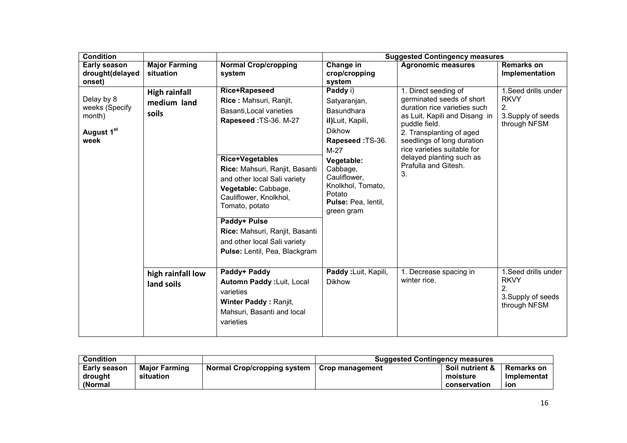| <b>Condition</b>                                             |                                              |                                                                                                                                                                                                                                                                                                                                                                                | <b>Suggested Contingency measures</b>                                                                                                                                                                                   |                                                                                                                                                                                                                                                                                        |                                                                                 |  |
|--------------------------------------------------------------|----------------------------------------------|--------------------------------------------------------------------------------------------------------------------------------------------------------------------------------------------------------------------------------------------------------------------------------------------------------------------------------------------------------------------------------|-------------------------------------------------------------------------------------------------------------------------------------------------------------------------------------------------------------------------|----------------------------------------------------------------------------------------------------------------------------------------------------------------------------------------------------------------------------------------------------------------------------------------|---------------------------------------------------------------------------------|--|
| Early season<br>drought(delayed<br>onset)                    | <b>Major Farming</b><br>situation            | <b>Normal Crop/cropping</b><br>system                                                                                                                                                                                                                                                                                                                                          | Change in<br>crop/cropping<br>system                                                                                                                                                                                    | <b>Agronomic measures</b>                                                                                                                                                                                                                                                              | <b>Remarks on</b><br>Implementation                                             |  |
| Delay by 8<br>weeks (Specify<br>month)<br>August 1st<br>week | <b>High rainfall</b><br>medium land<br>soils | Rice+Rapeseed<br>Rice: Mahsuri, Ranjit,<br>Basanti, Local varieties<br>Rapeseed: TS-36. M-27<br><b>Rice+Vegetables</b><br>Rice: Mahsuri, Ranjit, Basanti<br>and other local Sali variety<br>Vegetable: Cabbage,<br>Cauliflower, Knolkhol,<br>Tomato, potato<br>Paddy+ Pulse<br>Rice: Mahsuri, Ranjit, Basanti<br>and other local Sali variety<br>Pulse: Lentil, Pea, Blackgram | Paddy i)<br>Satyaranjan,<br>Basundhara<br>il)Luit, Kapili,<br><b>Dikhow</b><br>Rapeseed: TS-36.<br>$M-27$<br>Vegetable:<br>Cabbage,<br>Cauliflower,<br>Knolkhol, Tomato,<br>Potato<br>Pulse: Pea, lentil,<br>green gram | 1. Direct seeding of<br>germinated seeds of short<br>duration rice varieties such<br>as Luit, Kapili and Disang in<br>puddle field.<br>2. Transplanting of aged<br>seedlings of long duration<br>rice varieties suitable for<br>delayed planting such as<br>Prafulla and Gitesh.<br>3. | 1. Seed drills under<br><b>RKVY</b><br>2.<br>3. Supply of seeds<br>through NFSM |  |
|                                                              | high rainfall low<br>land soils              | Paddy+ Paddy<br>Automn Paddy : Luit, Local<br>varieties<br><b>Winter Paddy: Ranjit,</b><br>Mahsuri, Basanti and local<br>varieties                                                                                                                                                                                                                                             | Paddy: Luit, Kapili,<br><b>Dikhow</b>                                                                                                                                                                                   | 1. Decrease spacing in<br>winter rice.                                                                                                                                                                                                                                                 | 1. Seed drills under<br><b>RKVY</b><br>2.<br>3. Supply of seeds<br>through NFSM |  |

| <b>Condition</b>                   |                                   |                             | <b>Suggested Contingency measures</b> |                                             |                                  |
|------------------------------------|-----------------------------------|-----------------------------|---------------------------------------|---------------------------------------------|----------------------------------|
| Early season<br>drought<br>(Normal | <b>Maior Farming</b><br>situation | Normal Crop/cropping system | <b>Crop management</b>                | Soil nutrient &<br>moisture<br>conservation | Remarks on<br>Implementat<br>ion |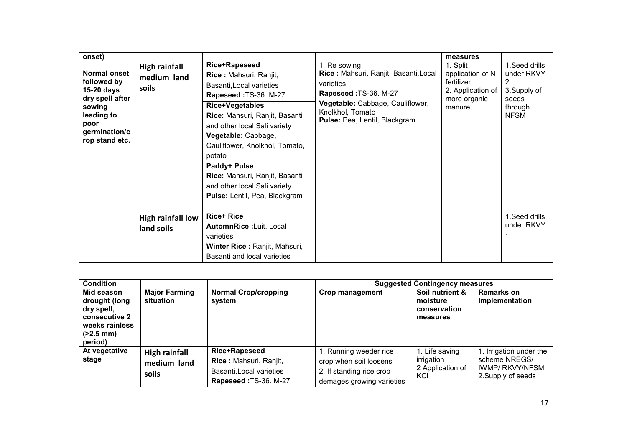| onset)<br>Normal onset<br>followed by<br>$15-20$ days<br>dry spell after<br>sowing<br>leading to<br>poor<br>germination/c<br>rop stand etc. | <b>High rainfall</b><br>medium land<br>soils | <b>Rice+Rapeseed</b><br>Rice: Mahsuri, Ranjit,<br>Basanti, Local varieties<br>Rapeseed: TS-36. M-27<br><b>Rice+Vegetables</b><br>Rice: Mahsuri, Ranjit, Basanti<br>and other local Sali variety<br>Vegetable: Cabbage,<br>Cauliflower, Knolkhol, Tomato,<br>potato<br>Paddy+ Pulse<br>Rice: Mahsuri, Ranjit, Basanti<br>and other local Sali variety<br>Pulse: Lentil, Pea, Blackgram | 1. Re sowing<br>Rice: Mahsuri, Ranjit, Basanti, Local<br>varieties,<br>Rapeseed: TS-36. M-27<br>Vegetable: Cabbage, Cauliflower,<br>Knolkhol, Tomato<br>Pulse: Pea, Lentil, Blackgram | measures<br>1. Split<br>application of N<br>fertilizer<br>2. Application of<br>more organic<br>manure. | 1. Seed drills<br>under RKVY<br>2.<br>3. Supply of<br>seeds<br>through<br><b>NFSM</b> |
|---------------------------------------------------------------------------------------------------------------------------------------------|----------------------------------------------|---------------------------------------------------------------------------------------------------------------------------------------------------------------------------------------------------------------------------------------------------------------------------------------------------------------------------------------------------------------------------------------|---------------------------------------------------------------------------------------------------------------------------------------------------------------------------------------|--------------------------------------------------------------------------------------------------------|---------------------------------------------------------------------------------------|
|                                                                                                                                             | High rainfall low<br>land soils              | <b>Rice+ Rice</b><br>AutomnRice: Luit, Local<br>varieties<br>Winter Rice: Ranjit, Mahsuri,<br>Basanti and local varieties                                                                                                                                                                                                                                                             |                                                                                                                                                                                       |                                                                                                        | 1. Seed drills<br>under RKVY                                                          |

| <b>Condition</b>                                                                                              |                                              |                                                                                                     | <b>Suggested Contingency measures</b>                                                                     |                                                         |                                                                                          |  |
|---------------------------------------------------------------------------------------------------------------|----------------------------------------------|-----------------------------------------------------------------------------------------------------|-----------------------------------------------------------------------------------------------------------|---------------------------------------------------------|------------------------------------------------------------------------------------------|--|
| Mid season<br>drought (long<br>dry spell,<br>consecutive 2<br>weeks rainless<br>$(2.5 \text{ mm})$<br>period) | <b>Major Farming</b><br>situation            | <b>Normal Crop/cropping</b><br>system                                                               | <b>Crop management</b>                                                                                    | Soil nutrient &<br>moisture<br>conservation<br>measures | <b>Remarks on</b><br>Implementation                                                      |  |
| At vegetative<br>stage                                                                                        | <b>High rainfall</b><br>medium land<br>soils | <b>Rice+Rapeseed</b><br>Rice: Mahsuri, Ranjit,<br>Basanti, Local varieties<br>Rapeseed: TS-36. M-27 | 1. Running weeder rice<br>crop when soil loosens<br>2. If standing rice crop<br>demages growing varieties | 1. Life saving<br>irrigation<br>2 Application of<br>KCI | 1. Irrigation under the<br>scheme NREGS/<br><b>IWMP/ RKVY/NFSM</b><br>2. Supply of seeds |  |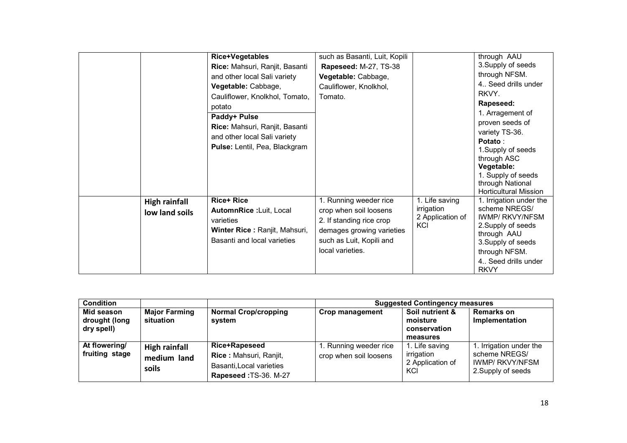|                      | <b>Rice+Vegetables</b>         | such as Basanti, Luit, Kopili |                         | through AAU                                  |
|----------------------|--------------------------------|-------------------------------|-------------------------|----------------------------------------------|
|                      | Rice: Mahsuri, Ranjit, Basanti | Rapeseed: M-27, TS-38         |                         | 3. Supply of seeds                           |
|                      | and other local Sali variety   | Vegetable: Cabbage,           |                         | through NFSM.                                |
|                      | Vegetable: Cabbage,            | Cauliflower, Knolkhol,        |                         | 4. Seed drills under                         |
|                      | Cauliflower, Knolkhol, Tomato, | Tomato.                       |                         | RKVY.                                        |
|                      | potato                         |                               |                         | Rapeseed:                                    |
|                      | Paddy+ Pulse                   |                               |                         | 1. Arragement of                             |
|                      | Rice: Mahsuri, Ranjit, Basanti |                               |                         | proven seeds of                              |
|                      | and other local Sali variety   |                               |                         | variety TS-36.                               |
|                      | Pulse: Lentil, Pea, Blackgram  |                               |                         | Potato:                                      |
|                      |                                |                               |                         | 1. Supply of seeds                           |
|                      |                                |                               |                         | through ASC<br>Vegetable:                    |
|                      |                                |                               |                         | 1. Supply of seeds                           |
|                      |                                |                               |                         | through National                             |
|                      |                                |                               |                         | <b>Horticultural Mission</b>                 |
| <b>High rainfall</b> | <b>Rice+ Rice</b>              | 1. Running weeder rice        | 1. Life saving          | 1. Irrigation under the                      |
| low land soils       | AutomnRice: Luit, Local        | crop when soil loosens        | irrigation              | scheme NREGS/                                |
|                      | varieties                      | 2. If standing rice crop      | 2 Application of<br>KCI | <b>IWMP/ RKVY/NFSM</b><br>2. Supply of seeds |
|                      | Winter Rice: Ranjit, Mahsuri,  | demages growing varieties     |                         | through AAU                                  |
|                      | Basanti and local varieties    | such as Luit, Kopili and      |                         | 3. Supply of seeds                           |
|                      |                                | local varieties.              |                         | through NFSM.                                |
|                      |                                |                               |                         | 4. Seed drills under                         |
|                      |                                |                               |                         | <b>RKVY</b>                                  |

| <b>Condition</b>                          |                                                     |                                                                                                     | <b>Suggested Contingency measures</b>            |                                                         |                                                                                          |  |
|-------------------------------------------|-----------------------------------------------------|-----------------------------------------------------------------------------------------------------|--------------------------------------------------|---------------------------------------------------------|------------------------------------------------------------------------------------------|--|
| Mid season<br>drought (long<br>dry spell) | <b>Major Farming</b><br>situation                   | <b>Normal Crop/cropping</b><br>system                                                               | <b>Crop management</b>                           | Soil nutrient &<br>moisture<br>conservation<br>measures | <b>Remarks on</b><br>Implementation                                                      |  |
| At flowering/<br>fruiting stage           | <b>High rainfall</b><br>medium land<br><b>soils</b> | <b>Rice+Rapeseed</b><br>Rice: Mahsuri, Ranjit,<br>Basanti, Local varieties<br>Rapeseed: TS-36. M-27 | 1. Running weeder rice<br>crop when soil loosens | 1. Life saving<br>irrigation<br>2 Application of<br>KCI | 1. Irrigation under the<br>scheme NREGS/<br><b>IWMP/ RKVY/NFSM</b><br>2. Supply of seeds |  |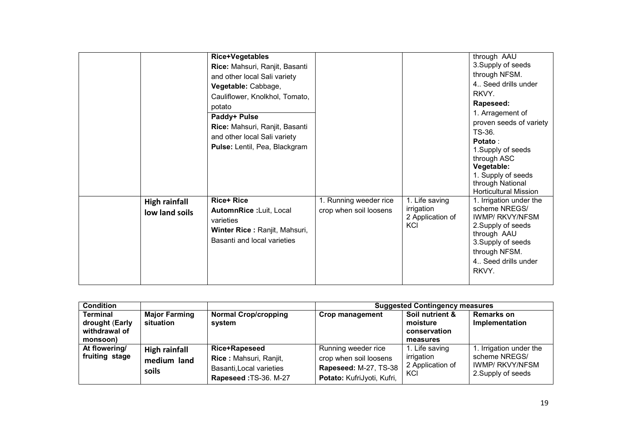|                                        | <b>Rice+Vegetables</b><br>Rice: Mahsuri, Ranjit, Basanti<br>and other local Sali variety<br>Vegetable: Cabbage,<br>Cauliflower, Knolkhol, Tomato,<br>potato<br>Paddy+ Pulse<br>Rice: Mahsuri, Ranjit, Basanti<br>and other local Sali variety<br>Pulse: Lentil, Pea, Blackgram |                                                  |                                                         | through AAU<br>3. Supply of seeds<br>through NFSM.<br>4 Seed drills under<br>RKVY.<br>Rapeseed:<br>1. Arragement of<br>proven seeds of variety<br>TS-36.<br>Potato:<br>1. Supply of seeds<br>through ASC                                                               |
|----------------------------------------|--------------------------------------------------------------------------------------------------------------------------------------------------------------------------------------------------------------------------------------------------------------------------------|--------------------------------------------------|---------------------------------------------------------|------------------------------------------------------------------------------------------------------------------------------------------------------------------------------------------------------------------------------------------------------------------------|
| <b>High rainfall</b><br>low land soils | <b>Rice+ Rice</b><br>AutomnRice:Luit, Local<br>varieties<br>Winter Rice: Ranjit, Mahsuri,<br>Basanti and local varieties                                                                                                                                                       | 1. Running weeder rice<br>crop when soil loosens | 1. Life saving<br>irrigation<br>2 Application of<br>KCI | Vegetable:<br>1. Supply of seeds<br>through National<br><b>Horticultural Mission</b><br>1. Irrigation under the<br>scheme NREGS/<br><b>IWMP/ RKVY/NFSM</b><br>2. Supply of seeds<br>through AAU<br>3. Supply of seeds<br>through NFSM.<br>4 Seed drills under<br>RKVY. |

| <b>Condition</b>                                               |                                              |                                                                                                     | <b>Suggested Contingency measures</b>                                                                |                                                         |                                                                                          |  |
|----------------------------------------------------------------|----------------------------------------------|-----------------------------------------------------------------------------------------------------|------------------------------------------------------------------------------------------------------|---------------------------------------------------------|------------------------------------------------------------------------------------------|--|
| <b>Terminal</b><br>drought (Early<br>withdrawal of<br>monsoon) | <b>Major Farming</b><br>situation            | <b>Normal Crop/cropping</b><br>system                                                               | Crop management                                                                                      | Soil nutrient &<br>moisture<br>conservation<br>measures | <b>Remarks on</b><br>Implementation                                                      |  |
| At flowering/<br>fruiting stage                                | <b>High rainfall</b><br>medium land<br>soils | <b>Rice+Rapeseed</b><br>Rice: Mahsuri, Ranjit,<br>Basanti, Local varieties<br>Rapeseed: TS-36. M-27 | Running weeder rice<br>crop when soil loosens<br>Rapeseed: M-27, TS-38<br>Potato: KufriJyoti, Kufri, | 1. Life saving<br>irrigation<br>2 Application of<br>KCI | 1. Irrigation under the<br>scheme NREGS/<br><b>IWMP/ RKVY/NFSM</b><br>2. Supply of seeds |  |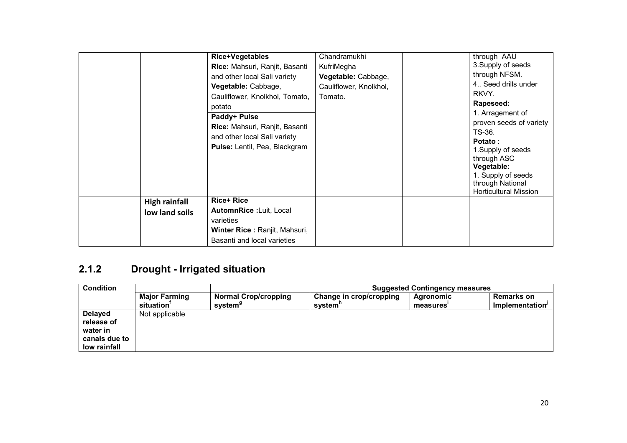|                                        | Rice+Vegetables<br>Rice: Mahsuri, Ranjit, Basanti<br>and other local Sali variety<br>Vegetable: Cabbage,<br>Cauliflower, Knolkhol, Tomato,<br>potato<br>Paddy+ Pulse<br>Rice: Mahsuri, Ranjit, Basanti<br>and other local Sali variety<br>Pulse: Lentil, Pea, Blackgram | Chandramukhi<br>KufriMegha<br>Vegetable: Cabbage,<br>Cauliflower, Knolkhol,<br>Tomato. | through AAU<br>3. Supply of seeds<br>through NFSM.<br>4 Seed drills under<br>RKVY.<br>Rapeseed:<br>1. Arragement of<br>proven seeds of variety<br>TS-36.<br><b>Potato:</b><br>1. Supply of seeds<br>through ASC<br>Vegetable:<br>1. Supply of seeds<br>through National<br><b>Horticultural Mission</b> |
|----------------------------------------|-------------------------------------------------------------------------------------------------------------------------------------------------------------------------------------------------------------------------------------------------------------------------|----------------------------------------------------------------------------------------|---------------------------------------------------------------------------------------------------------------------------------------------------------------------------------------------------------------------------------------------------------------------------------------------------------|
| <b>High rainfall</b><br>low land soils | <b>Rice+ Rice</b><br>AutomnRice: Luit, Local<br>varieties<br>Winter Rice: Ranjit, Mahsuri,<br>Basanti and local varieties                                                                                                                                               |                                                                                        |                                                                                                                                                                                                                                                                                                         |

### 2.1.2 Drought - Irrigated situation

| <b>Condition</b>                                                          |                                                |                                                    | <b>Suggested Contingency measures</b> |                       |                                      |  |
|---------------------------------------------------------------------------|------------------------------------------------|----------------------------------------------------|---------------------------------------|-----------------------|--------------------------------------|--|
|                                                                           | <b>Major Farming</b><br>situation <sup>'</sup> | <b>Normal Crop/cropping</b><br>system <sup>g</sup> | Change in crop/cropping<br>system"    | Agronomic<br>measures | <b>Remarks on</b><br>Implementation' |  |
| <b>Delayed</b><br>release of<br>water in<br>canals due to<br>low rainfall | Not applicable                                 |                                                    |                                       |                       |                                      |  |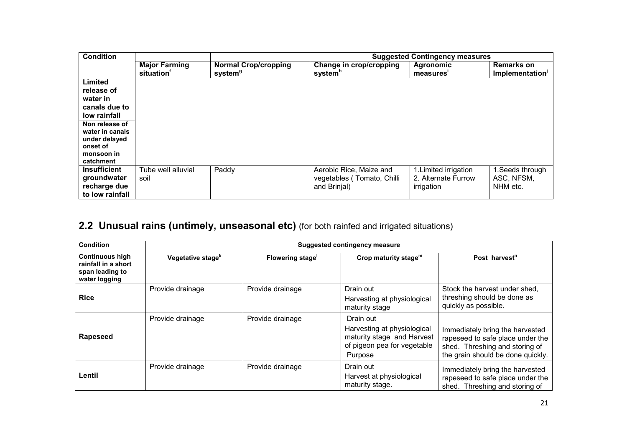| <b>Condition</b>                                                                                                                                                |                                                |                                                    | <b>Suggested Contingency measures</b>                                 |                                                            |                                                  |  |
|-----------------------------------------------------------------------------------------------------------------------------------------------------------------|------------------------------------------------|----------------------------------------------------|-----------------------------------------------------------------------|------------------------------------------------------------|--------------------------------------------------|--|
|                                                                                                                                                                 | <b>Major Farming</b><br>situation <sup>'</sup> | <b>Normal Crop/cropping</b><br>system <sup>g</sup> | Change in crop/cropping<br>system <sup>h</sup>                        | <b>Agronomic</b><br>measures'                              | <b>Remarks on</b><br>Implementation <sup>1</sup> |  |
| Limited<br>release of<br>water in<br>canals due to<br>low rainfall<br>Non release of<br>water in canals<br>under delayed<br>onset of<br>monsoon in<br>catchment |                                                |                                                    |                                                                       |                                                            |                                                  |  |
| <b>Insufficient</b><br>groundwater<br>recharge due<br>to low rainfall                                                                                           | Tube well alluvial<br>soil                     | Paddy                                              | Aerobic Rice, Maize and<br>vegetables (Tomato, Chilli<br>and Brinjal) | 1. Limited irrigation<br>2. Alternate Furrow<br>irrigation | 1. Seeds through<br>ASC, NFSM,<br>NHM etc.       |  |

#### 2.2 Unusual rains (untimely, unseasonal etc) (for both rainfed and irrigated situations)

| <b>Condition</b>                                                                  | <b>Suggested contingency measure</b> |                         |                                                                                                                  |                                                                                                                                            |  |
|-----------------------------------------------------------------------------------|--------------------------------------|-------------------------|------------------------------------------------------------------------------------------------------------------|--------------------------------------------------------------------------------------------------------------------------------------------|--|
| <b>Continuous high</b><br>rainfall in a short<br>span leading to<br>water logging | Vegetative stage <sup>k</sup>        | <b>Flowering stage'</b> | Crop maturity stage <sup>m</sup>                                                                                 | Post harvest <sup>n</sup>                                                                                                                  |  |
| <b>Rice</b>                                                                       | Provide drainage                     | Provide drainage        | Drain out<br>Harvesting at physiological<br>maturity stage                                                       | Stock the harvest under shed,<br>threshing should be done as<br>quickly as possible.                                                       |  |
| <b>Rapeseed</b>                                                                   | Provide drainage                     | Provide drainage        | Drain out<br>Harvesting at physiological<br>maturity stage and Harvest<br>of pigeon pea for vegetable<br>Purpose | Immediately bring the harvested<br>rapeseed to safe place under the<br>shed. Threshing and storing of<br>the grain should be done quickly. |  |
| Lentil                                                                            | Provide drainage                     | Provide drainage        | Drain out<br>Harvest at physiological<br>maturity stage.                                                         | Immediately bring the harvested<br>rapeseed to safe place under the<br>shed. Threshing and storing of                                      |  |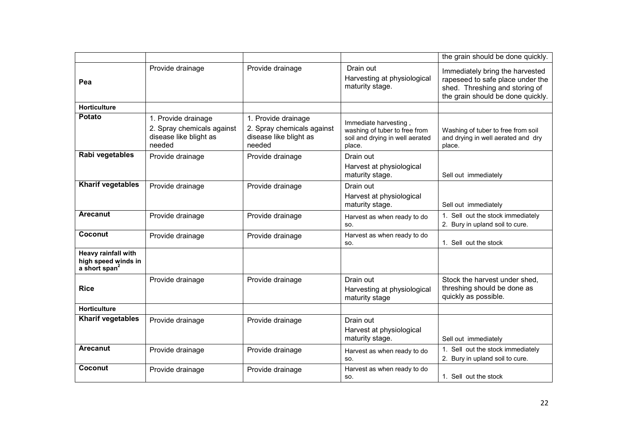|                                                                |                                                                                       |                                                                                       |                                                                                                    | the grain should be done quickly.                                                                                                          |
|----------------------------------------------------------------|---------------------------------------------------------------------------------------|---------------------------------------------------------------------------------------|----------------------------------------------------------------------------------------------------|--------------------------------------------------------------------------------------------------------------------------------------------|
| Pea                                                            | Provide drainage                                                                      | Provide drainage                                                                      | Drain out<br>Harvesting at physiological<br>maturity stage.                                        | Immediately bring the harvested<br>rapeseed to safe place under the<br>shed. Threshing and storing of<br>the grain should be done quickly. |
| <b>Horticulture</b>                                            |                                                                                       |                                                                                       |                                                                                                    |                                                                                                                                            |
| <b>Potato</b>                                                  | 1. Provide drainage<br>2. Spray chemicals against<br>disease like blight as<br>needed | 1. Provide drainage<br>2. Spray chemicals against<br>disease like blight as<br>needed | Immediate harvesting<br>washing of tuber to free from<br>soil and drying in well aerated<br>place. | Washing of tuber to free from soil<br>and drying in well aerated and dry<br>place.                                                         |
| Rabi vegetables                                                | Provide drainage                                                                      | Provide drainage                                                                      | Drain out<br>Harvest at physiological<br>maturity stage.                                           | Sell out immediately                                                                                                                       |
| <b>Kharif vegetables</b>                                       | Provide drainage                                                                      | Provide drainage                                                                      | Drain out<br>Harvest at physiological<br>maturity stage.                                           | Sell out immediately                                                                                                                       |
| <b>Arecanut</b>                                                | Provide drainage                                                                      | Provide drainage                                                                      | Harvest as when ready to do<br>SO.                                                                 | 1. Sell out the stock immediately<br>2. Bury in upland soil to cure.                                                                       |
| Coconut                                                        | Provide drainage                                                                      | Provide drainage                                                                      | Harvest as when ready to do<br>SO.                                                                 | 1. Sell out the stock                                                                                                                      |
| Heavy rainfall with<br>high speed winds in<br>a short span $2$ |                                                                                       |                                                                                       |                                                                                                    |                                                                                                                                            |
| <b>Rice</b>                                                    | Provide drainage                                                                      | Provide drainage                                                                      | Drain out<br>Harvesting at physiological<br>maturity stage                                         | Stock the harvest under shed,<br>threshing should be done as<br>quickly as possible.                                                       |
| <b>Horticulture</b>                                            |                                                                                       |                                                                                       |                                                                                                    |                                                                                                                                            |
| <b>Kharif vegetables</b>                                       | Provide drainage                                                                      | Provide drainage                                                                      | Drain out<br>Harvest at physiological<br>maturity stage.                                           | Sell out immediately                                                                                                                       |
| <b>Arecanut</b>                                                | Provide drainage                                                                      | Provide drainage                                                                      | Harvest as when ready to do<br>SO.                                                                 | 1. Sell out the stock immediately<br>2. Bury in upland soil to cure.                                                                       |
| Coconut                                                        | Provide drainage                                                                      | Provide drainage                                                                      | Harvest as when ready to do<br>SO.                                                                 | 1. Sell out the stock                                                                                                                      |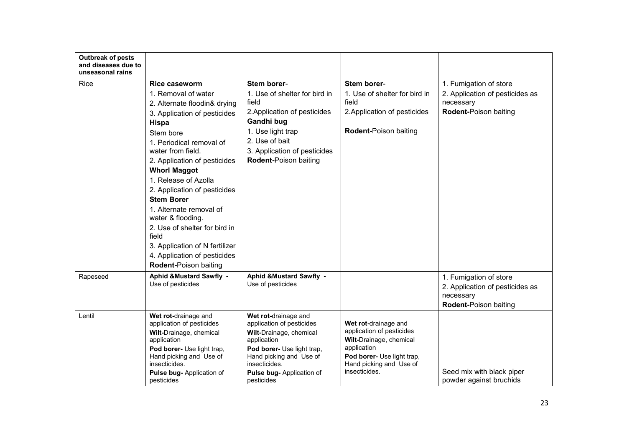| <b>Outbreak of pests</b><br>and diseases due to<br>unseasonal rains |                                                                                                                                                                                                                                                                                                                                                                                                                                                                                                                    |                                                                                                                                                                                                                  |                                                                                                                                                                       |                                                                                                 |
|---------------------------------------------------------------------|--------------------------------------------------------------------------------------------------------------------------------------------------------------------------------------------------------------------------------------------------------------------------------------------------------------------------------------------------------------------------------------------------------------------------------------------------------------------------------------------------------------------|------------------------------------------------------------------------------------------------------------------------------------------------------------------------------------------------------------------|-----------------------------------------------------------------------------------------------------------------------------------------------------------------------|-------------------------------------------------------------------------------------------------|
| <b>Rice</b>                                                         | Rice caseworm<br>1. Removal of water<br>2. Alternate floodin& drying<br>3. Application of pesticides<br><b>Hispa</b><br>Stem bore<br>1. Periodical removal of<br>water from field.<br>2. Application of pesticides<br><b>Whorl Maggot</b><br>1. Release of Azolla<br>2. Application of pesticides<br><b>Stem Borer</b><br>1. Alternate removal of<br>water & flooding.<br>2. Use of shelter for bird in<br>field<br>3. Application of N fertilizer<br>4. Application of pesticides<br><b>Rodent-Poison baiting</b> | Stem borer-<br>1. Use of shelter for bird in<br>field<br>2. Application of pesticides<br>Gandhi bug<br>1. Use light trap<br>2. Use of bait<br>3. Application of pesticides<br><b>Rodent-Poison baiting</b>       | Stem borer-<br>1. Use of shelter for bird in<br>field<br>2. Application of pesticides<br>Rodent-Poison baiting                                                        | 1. Fumigation of store<br>2. Application of pesticides as<br>necessary<br>Rodent-Poison baiting |
| Rapeseed                                                            | <b>Aphid &amp;Mustard Sawfly -</b><br>Use of pesticides                                                                                                                                                                                                                                                                                                                                                                                                                                                            | Aphid & Mustard Sawfly -<br>Use of pesticides                                                                                                                                                                    |                                                                                                                                                                       | 1. Fumigation of store<br>2. Application of pesticides as<br>necessary<br>Rodent-Poison baiting |
| Lentil                                                              | Wet rot-drainage and<br>application of pesticides<br>Wilt-Drainage, chemical<br>application<br>Pod borer- Use light trap,<br>Hand picking and Use of<br>insecticides.<br>Pulse bug- Application of<br>pesticides                                                                                                                                                                                                                                                                                                   | Wet rot-drainage and<br>application of pesticides<br>Wilt-Drainage, chemical<br>application<br>Pod borer- Use light trap,<br>Hand picking and Use of<br>insecticides.<br>Pulse bug- Application of<br>pesticides | Wet rot-drainage and<br>application of pesticides<br>Wilt-Drainage, chemical<br>application<br>Pod borer- Use light trap,<br>Hand picking and Use of<br>insecticides. | Seed mix with black piper<br>powder against bruchids                                            |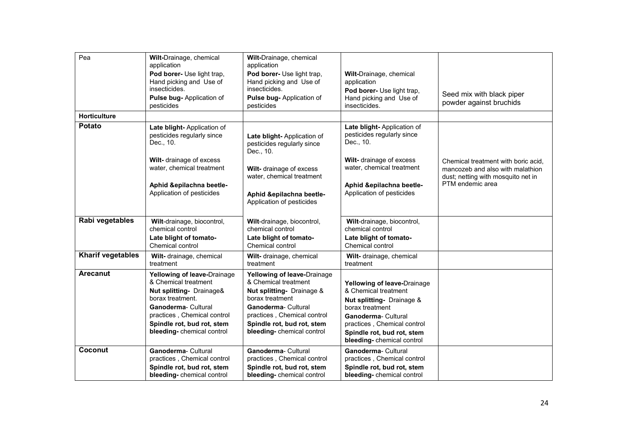| Pea                      | Wilt-Drainage, chemical<br>application<br>Pod borer- Use light trap,<br>Hand picking and Use of<br>insecticides.<br>Pulse bug- Application of<br>pesticides                                                          | Wilt-Drainage, chemical<br>application<br>Pod borer- Use light trap,<br>Hand picking and Use of<br>insecticides.<br>Pulse bug- Application of<br>pesticides                                                          | Wilt-Drainage, chemical<br>application<br>Pod borer- Use light trap,<br>Hand picking and Use of<br>insecticides.                                                                                                           | Seed mix with black piper<br>powder against bruchids                                                                              |
|--------------------------|----------------------------------------------------------------------------------------------------------------------------------------------------------------------------------------------------------------------|----------------------------------------------------------------------------------------------------------------------------------------------------------------------------------------------------------------------|----------------------------------------------------------------------------------------------------------------------------------------------------------------------------------------------------------------------------|-----------------------------------------------------------------------------------------------------------------------------------|
| <b>Horticulture</b>      |                                                                                                                                                                                                                      |                                                                                                                                                                                                                      |                                                                                                                                                                                                                            |                                                                                                                                   |
| <b>Potato</b>            | Late blight- Application of<br>pesticides regularly since<br>Dec., 10.                                                                                                                                               | Late blight-Application of<br>pesticides regularly since<br>Dec., 10.                                                                                                                                                | Late blight- Application of<br>pesticides regularly since<br>Dec., 10.                                                                                                                                                     |                                                                                                                                   |
|                          | Wilt- drainage of excess<br>water, chemical treatment                                                                                                                                                                | Wilt- drainage of excess<br>water, chemical treatment                                                                                                                                                                | Wilt- drainage of excess<br>water, chemical treatment                                                                                                                                                                      | Chemical treatment with boric acid.<br>mancozeb and also with malathion<br>dust; netting with mosquito net in<br>PTM endemic area |
|                          | Aphid &epilachna beetle-<br>Application of pesticides                                                                                                                                                                | Aphid &epilachna beetle-<br>Application of pesticides                                                                                                                                                                | Aphid &epilachna beetle-<br>Application of pesticides                                                                                                                                                                      |                                                                                                                                   |
| Rabi vegetables          | Wilt-drainage, biocontrol,<br>chemical control<br>Late blight of tomato-<br>Chemical control                                                                                                                         | Wilt-drainage, biocontrol,<br>chemical control<br>Late blight of tomato-<br>Chemical control                                                                                                                         | Wilt-drainage, biocontrol,<br>chemical control<br>Late blight of tomato-<br>Chemical control                                                                                                                               |                                                                                                                                   |
| <b>Kharif vegetables</b> | Wilt- drainage, chemical<br>treatment                                                                                                                                                                                | Wilt- drainage, chemical<br>treatment                                                                                                                                                                                | Wilt- drainage, chemical<br>treatment                                                                                                                                                                                      |                                                                                                                                   |
| Arecanut                 | Yellowing of leave-Drainage<br>& Chemical treatment<br>Nut splitting- Drainage&<br>borax treatment.<br>Ganoderma- Cultural<br>practices, Chemical control<br>Spindle rot, bud rot, stem<br>bleeding-chemical control | Yellowing of leave-Drainage<br>& Chemical treatment<br>Nut splitting- Drainage &<br>borax treatment<br>Ganoderma- Cultural<br>practices, Chemical control<br>Spindle rot, bud rot, stem<br>bleeding-chemical control | Yellowing of leave-Drainage<br>& Chemical treatment<br><b>Nut splitting-</b> Drainage &<br>borax treatment<br>Ganoderma-Cultural<br>practices, Chemical control<br>Spindle rot, bud rot, stem<br>bleeding-chemical control |                                                                                                                                   |
| Coconut                  | Ganoderma- Cultural<br>practices, Chemical control<br>Spindle rot, bud rot, stem<br>bleeding-chemical control                                                                                                        | Ganoderma- Cultural<br>practices, Chemical control<br>Spindle rot, bud rot, stem<br>bleeding-chemical control                                                                                                        | Ganoderma-Cultural<br>practices, Chemical control<br>Spindle rot, bud rot, stem<br>bleeding-chemical control                                                                                                               |                                                                                                                                   |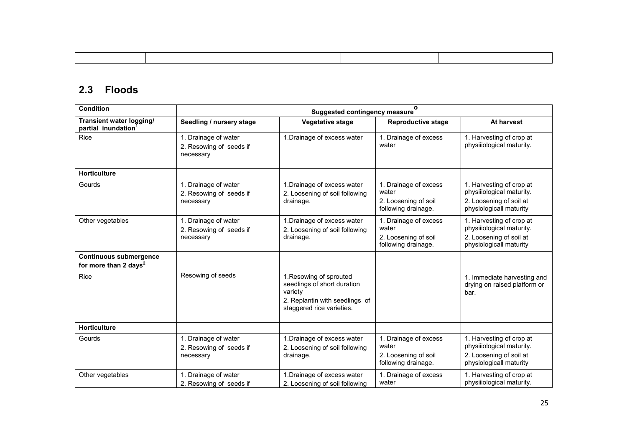# 2.3 Floods

| <b>Condition</b>                                                   | $\mathbf{o}$<br><b>Suggested contingency measure</b>         |                                                                                                                                  |                                                                               |                                                                                                             |  |
|--------------------------------------------------------------------|--------------------------------------------------------------|----------------------------------------------------------------------------------------------------------------------------------|-------------------------------------------------------------------------------|-------------------------------------------------------------------------------------------------------------|--|
| Transient water logging/<br>partial inundation                     | Seedling / nursery stage                                     | <b>Vegetative stage</b>                                                                                                          | <b>Reproductive stage</b>                                                     | At harvest                                                                                                  |  |
| Rice                                                               | 1. Drainage of water<br>2. Resowing of seeds if<br>necessary | 1. Drainage of excess water                                                                                                      | 1. Drainage of excess<br>water                                                | 1. Harvesting of crop at<br>physillological maturity.                                                       |  |
| <b>Horticulture</b>                                                |                                                              |                                                                                                                                  |                                                                               |                                                                                                             |  |
| Gourds                                                             | 1. Drainage of water<br>2. Resowing of seeds if<br>necessary | 1. Drainage of excess water<br>2. Loosening of soil following<br>drainage.                                                       | 1. Drainage of excess<br>water<br>2. Loosening of soil<br>following drainage. | 1. Harvesting of crop at<br>physiliological maturity.<br>2. Loosening of soil at<br>physiologicall maturity |  |
| Other vegetables                                                   | 1. Drainage of water<br>2. Resowing of seeds if<br>necessary | 1. Drainage of excess water<br>2. Loosening of soil following<br>drainage.                                                       | 1. Drainage of excess<br>water<br>2. Loosening of soil<br>following drainage. | 1. Harvesting of crop at<br>physiliological maturity.<br>2. Loosening of soil at<br>physiologicall maturity |  |
| <b>Continuous submergence</b><br>for more than 2 days <sup>2</sup> |                                                              |                                                                                                                                  |                                                                               |                                                                                                             |  |
| Rice                                                               | Resowing of seeds                                            | 1. Resowing of sprouted<br>seedlings of short duration<br>variety<br>2. Replantin with seedlings of<br>staggered rice varieties. |                                                                               | 1. Immediate harvesting and<br>drying on raised platform or<br>bar.                                         |  |
| <b>Horticulture</b>                                                |                                                              |                                                                                                                                  |                                                                               |                                                                                                             |  |
| Gourds                                                             | 1. Drainage of water<br>2. Resowing of seeds if<br>necessary | 1. Drainage of excess water<br>2. Loosening of soil following<br>drainage.                                                       | 1. Drainage of excess<br>water<br>2. Loosening of soil<br>following drainage. | 1. Harvesting of crop at<br>physiliological maturity.<br>2. Loosening of soil at<br>physiologicall maturity |  |
| Other vegetables                                                   | 1. Drainage of water<br>2. Resowing of seeds if              | 1. Drainage of excess water<br>2. Loosening of soil following                                                                    | 1. Drainage of excess<br>water                                                | 1. Harvesting of crop at<br>physiliological maturity.                                                       |  |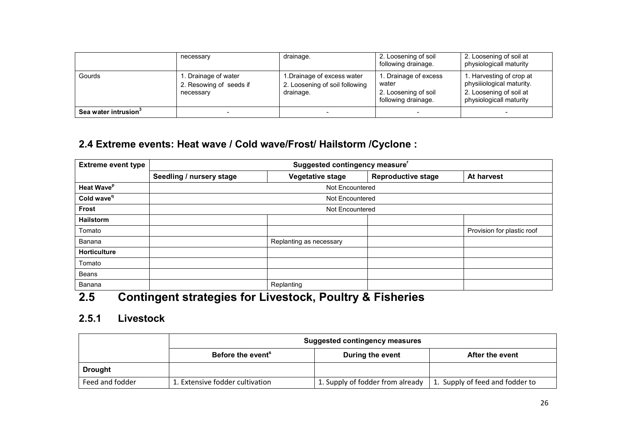|                                  | necessary                                                    | drainage.                                                                  | 2. Loosening of soil<br>following drainage.                                  | 2. Loosening of soil at<br>physiologicall maturity                                                          |
|----------------------------------|--------------------------------------------------------------|----------------------------------------------------------------------------|------------------------------------------------------------------------------|-------------------------------------------------------------------------------------------------------------|
| Gourds                           | 1. Drainage of water<br>2. Resowing of seeds if<br>necessary | 1. Drainage of excess water<br>2. Loosening of soil following<br>drainage. | . Drainage of excess<br>water<br>2. Loosening of soil<br>following drainage. | 1. Harvesting of crop at<br>physiiiological maturity.<br>2. Loosening of soil at<br>physiologicall maturity |
| Sea water intrusion <sup>3</sup> |                                                              | -                                                                          | -                                                                            | -                                                                                                           |

### 2.4 Extreme events: Heat wave / Cold wave/Frost/ Hailstorm /Cyclone :

| <b>Extreme event type</b>     | Suggested contingency measure |                         |                           |                            |  |  |  |
|-------------------------------|-------------------------------|-------------------------|---------------------------|----------------------------|--|--|--|
|                               | Seedling / nursery stage      | Vegetative stage        | <b>Reproductive stage</b> | At harvest                 |  |  |  |
| <b>Heat Wave</b> <sup>p</sup> |                               | Not Encountered         |                           |                            |  |  |  |
| Cold wave <sup>q</sup>        |                               | Not Encountered         |                           |                            |  |  |  |
| <b>Frost</b>                  | Not Encountered               |                         |                           |                            |  |  |  |
| <b>Hailstorm</b>              |                               |                         |                           |                            |  |  |  |
| Tomato                        |                               |                         |                           | Provision for plastic roof |  |  |  |
| Banana                        |                               | Replanting as necessary |                           |                            |  |  |  |
| <b>Horticulture</b>           |                               |                         |                           |                            |  |  |  |
| Tomato                        |                               |                         |                           |                            |  |  |  |
| <b>Beans</b>                  |                               |                         |                           |                            |  |  |  |
| Banana                        |                               | Replanting              |                           |                            |  |  |  |

# 2.5 Contingent strategies for Livestock, Poultry & Fisheries

# 2.5.1 Livestock

|                 | <b>Suggested contingency measures</b>                                |                                  |                                 |  |  |
|-----------------|----------------------------------------------------------------------|----------------------------------|---------------------------------|--|--|
|                 | Before the event <sup>®</sup><br>After the event<br>During the event |                                  |                                 |  |  |
| <b>Drought</b>  |                                                                      |                                  |                                 |  |  |
| Feed and fodder | 1. Extensive fodder cultivation                                      | 1. Supply of fodder from already | 1. Supply of feed and fodder to |  |  |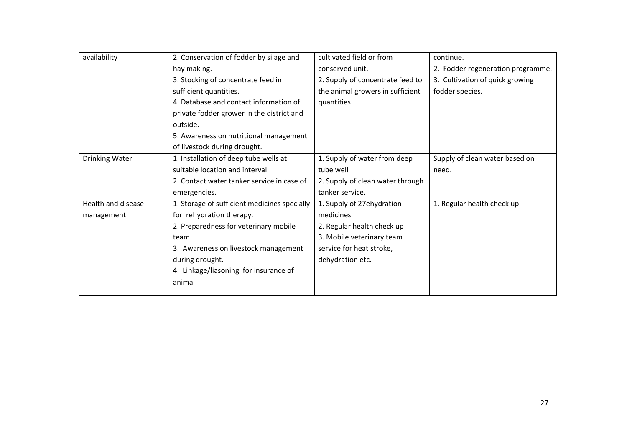| availability       | 2. Conservation of fodder by silage and      | cultivated field or from         | continue.                         |
|--------------------|----------------------------------------------|----------------------------------|-----------------------------------|
|                    | hay making.                                  | conserved unit.                  | 2. Fodder regeneration programme. |
|                    | 3. Stocking of concentrate feed in           | 2. Supply of concentrate feed to | 3. Cultivation of quick growing   |
|                    | sufficient quantities.                       | the animal growers in sufficient | fodder species.                   |
|                    | 4. Database and contact information of       | quantities.                      |                                   |
|                    | private fodder grower in the district and    |                                  |                                   |
|                    | outside.                                     |                                  |                                   |
|                    | 5. Awareness on nutritional management       |                                  |                                   |
|                    | of livestock during drought.                 |                                  |                                   |
| Drinking Water     | 1. Installation of deep tube wells at        | 1. Supply of water from deep     | Supply of clean water based on    |
|                    | suitable location and interval               | tube well                        | need.                             |
|                    | 2. Contact water tanker service in case of   | 2. Supply of clean water through |                                   |
|                    | emergencies.                                 | tanker service.                  |                                   |
| Health and disease | 1. Storage of sufficient medicines specially | 1. Supply of 27ehydration        | 1. Regular health check up        |
| management         | for rehydration therapy.                     | medicines                        |                                   |
|                    | 2. Preparedness for veterinary mobile        | 2. Regular health check up       |                                   |
|                    | team.                                        | 3. Mobile veterinary team        |                                   |
|                    | 3. Awareness on livestock management         | service for heat stroke,         |                                   |
|                    | during drought.                              | dehydration etc.                 |                                   |
|                    | 4. Linkage/liasoning for insurance of        |                                  |                                   |
|                    | animal                                       |                                  |                                   |
|                    |                                              |                                  |                                   |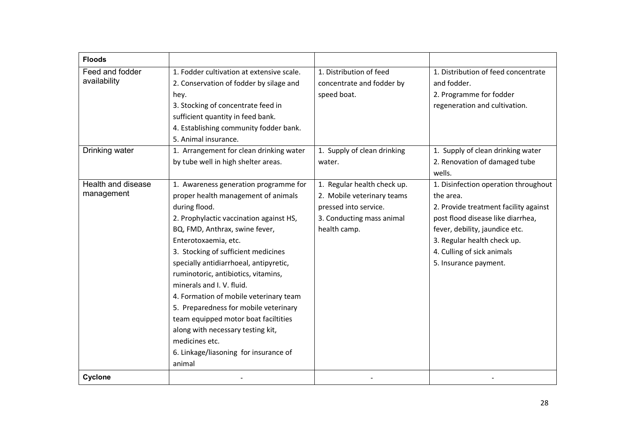| <b>Floods</b>                    |                                                                                                                                                                                                                                                                                                                                                                                                                                                                                                                                                                                              |                                                                                                                                 |                                                                                                                                                                                                                                                         |
|----------------------------------|----------------------------------------------------------------------------------------------------------------------------------------------------------------------------------------------------------------------------------------------------------------------------------------------------------------------------------------------------------------------------------------------------------------------------------------------------------------------------------------------------------------------------------------------------------------------------------------------|---------------------------------------------------------------------------------------------------------------------------------|---------------------------------------------------------------------------------------------------------------------------------------------------------------------------------------------------------------------------------------------------------|
| Feed and fodder<br>availability  | 1. Fodder cultivation at extensive scale.<br>2. Conservation of fodder by silage and<br>hey.<br>3. Stocking of concentrate feed in<br>sufficient quantity in feed bank.<br>4. Establishing community fodder bank.<br>5. Animal insurance.                                                                                                                                                                                                                                                                                                                                                    | 1. Distribution of feed<br>concentrate and fodder by<br>speed boat.                                                             | 1. Distribution of feed concentrate<br>and fodder.<br>2. Programme for fodder<br>regeneration and cultivation.                                                                                                                                          |
| Drinking water                   | 1. Arrangement for clean drinking water<br>by tube well in high shelter areas.                                                                                                                                                                                                                                                                                                                                                                                                                                                                                                               | 1. Supply of clean drinking<br>water.                                                                                           | 1. Supply of clean drinking water<br>2. Renovation of damaged tube<br>wells.                                                                                                                                                                            |
| Health and disease<br>management | 1. Awareness generation programme for<br>proper health management of animals<br>during flood.<br>2. Prophylactic vaccination against HS,<br>BQ, FMD, Anthrax, swine fever,<br>Enterotoxaemia, etc.<br>3. Stocking of sufficient medicines<br>specially antidiarrhoeal, antipyretic,<br>ruminotoric, antibiotics, vitamins,<br>minerals and I. V. fluid.<br>4. Formation of mobile veterinary team<br>5. Preparedness for mobile veterinary<br>team equipped motor boat faciltities<br>along with necessary testing kit,<br>medicines etc.<br>6. Linkage/liasoning for insurance of<br>animal | 1. Regular health check up.<br>2. Mobile veterinary teams<br>pressed into service.<br>3. Conducting mass animal<br>health camp. | 1. Disinfection operation throughout<br>the area.<br>2. Provide treatment facility against<br>post flood disease like diarrhea,<br>fever, debility, jaundice etc.<br>3. Regular health check up.<br>4. Culling of sick animals<br>5. Insurance payment. |
| Cyclone                          |                                                                                                                                                                                                                                                                                                                                                                                                                                                                                                                                                                                              |                                                                                                                                 |                                                                                                                                                                                                                                                         |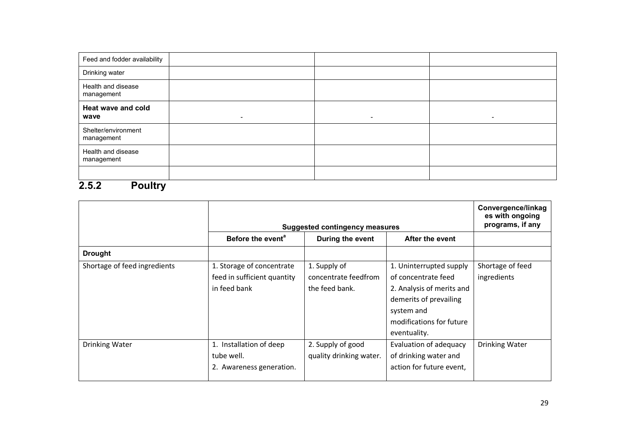| Feed and fodder availability      |                              |                          |           |
|-----------------------------------|------------------------------|--------------------------|-----------|
| Drinking water                    |                              |                          |           |
| Health and disease<br>management  |                              |                          |           |
| Heat wave and cold<br>wave        | $\qquad \qquad \blacksquare$ | $\overline{\phantom{0}}$ | $\,$ $\,$ |
| Shelter/environment<br>management |                              |                          |           |
| Health and disease<br>management  |                              |                          |           |
|                                   |                              |                          |           |

#### 2.5.2 Poultry

|                              | Suggested contingency measures                                           | Convergence/linkag<br>es with ongoing<br>programs, if any |                                                                                                                                                                 |                                 |  |  |
|------------------------------|--------------------------------------------------------------------------|-----------------------------------------------------------|-----------------------------------------------------------------------------------------------------------------------------------------------------------------|---------------------------------|--|--|
|                              | Before the event <sup>a</sup>                                            | During the event<br>After the event                       |                                                                                                                                                                 |                                 |  |  |
| <b>Drought</b>               |                                                                          |                                                           |                                                                                                                                                                 |                                 |  |  |
| Shortage of feed ingredients | 1. Storage of concentrate<br>feed in sufficient quantity<br>in feed bank | 1. Supply of<br>concentrate feedfrom<br>the feed bank.    | 1. Uninterrupted supply<br>of concentrate feed<br>2. Analysis of merits and<br>demerits of prevailing<br>system and<br>modifications for future<br>eventuality. | Shortage of feed<br>ingredients |  |  |
| Drinking Water               | 1. Installation of deep<br>tube well.<br>2. Awareness generation.        | 2. Supply of good<br>quality drinking water.              | Evaluation of adequacy<br>of drinking water and<br>action for future event,                                                                                     | Drinking Water                  |  |  |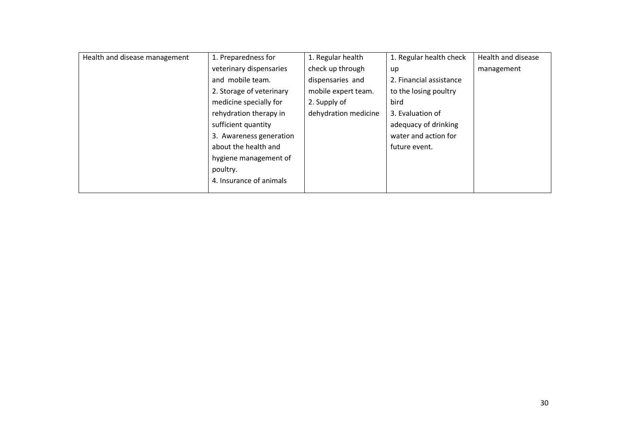| Health and disease management | 1. Preparedness for      | 1. Regular health    | 1. Regular health check | Health and disease |
|-------------------------------|--------------------------|----------------------|-------------------------|--------------------|
|                               | veterinary dispensaries  | check up through     | up                      | management         |
|                               | and mobile team.         | dispensaries and     | 2. Financial assistance |                    |
|                               | 2. Storage of veterinary | mobile expert team.  | to the losing poultry   |                    |
|                               | medicine specially for   | 2. Supply of         | bird                    |                    |
|                               | rehydration therapy in   | dehydration medicine | 3. Evaluation of        |                    |
|                               | sufficient quantity      |                      | adequacy of drinking    |                    |
|                               | 3. Awareness generation  |                      | water and action for    |                    |
|                               | about the health and     |                      | future event.           |                    |
|                               | hygiene management of    |                      |                         |                    |
|                               | poultry.                 |                      |                         |                    |
|                               | 4. Insurance of animals  |                      |                         |                    |
|                               |                          |                      |                         |                    |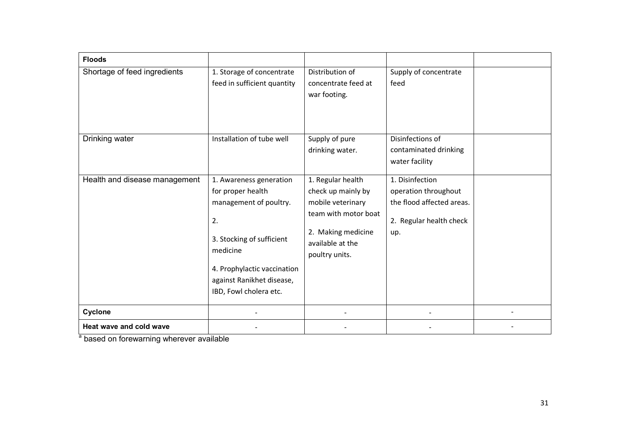| <b>Floods</b>                 |                                                                                                                                                                                                             |                                                                                                                                                  |                                                                                                        |  |
|-------------------------------|-------------------------------------------------------------------------------------------------------------------------------------------------------------------------------------------------------------|--------------------------------------------------------------------------------------------------------------------------------------------------|--------------------------------------------------------------------------------------------------------|--|
| Shortage of feed ingredients  | 1. Storage of concentrate<br>feed in sufficient quantity                                                                                                                                                    | Distribution of<br>concentrate feed at<br>war footing.                                                                                           | Supply of concentrate<br>feed                                                                          |  |
| Drinking water                | Installation of tube well                                                                                                                                                                                   | Supply of pure<br>drinking water.                                                                                                                | Disinfections of<br>contaminated drinking<br>water facility                                            |  |
| Health and disease management | 1. Awareness generation<br>for proper health<br>management of poultry.<br>2.<br>3. Stocking of sufficient<br>medicine<br>4. Prophylactic vaccination<br>against Ranikhet disease,<br>IBD, Fowl cholera etc. | 1. Regular health<br>check up mainly by<br>mobile veterinary<br>team with motor boat<br>2. Making medicine<br>available at the<br>poultry units. | 1. Disinfection<br>operation throughout<br>the flood affected areas.<br>2. Regular health check<br>up. |  |
| Cyclone                       |                                                                                                                                                                                                             |                                                                                                                                                  |                                                                                                        |  |
| Heat wave and cold wave       |                                                                                                                                                                                                             |                                                                                                                                                  |                                                                                                        |  |

a based on forewarning wherever available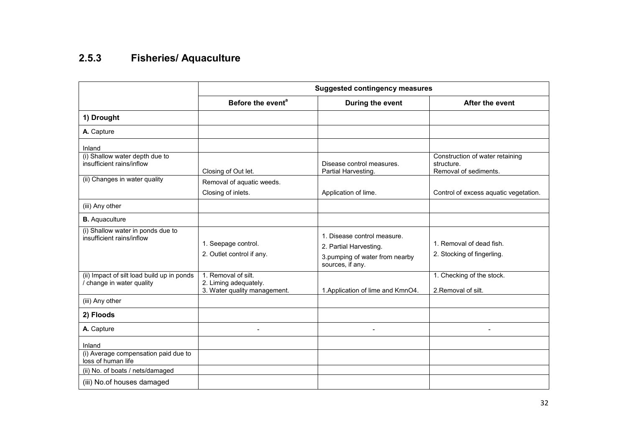#### 2.5.3 Fisheries/ Aquaculture

|                                                                         | <b>Suggested contingency measures</b>                                        |                                                                                                             |                                                                        |  |  |
|-------------------------------------------------------------------------|------------------------------------------------------------------------------|-------------------------------------------------------------------------------------------------------------|------------------------------------------------------------------------|--|--|
|                                                                         | Before the event <sup>a</sup>                                                | During the event                                                                                            | After the event                                                        |  |  |
| 1) Drought                                                              |                                                                              |                                                                                                             |                                                                        |  |  |
| A. Capture                                                              |                                                                              |                                                                                                             |                                                                        |  |  |
| Inland<br>(i) Shallow water depth due to<br>insufficient rains/inflow   | Closing of Out let.                                                          | Disease control measures.<br>Partial Harvesting.                                                            | Construction of water retaining<br>structure.<br>Removal of sediments. |  |  |
| (ii) Changes in water quality                                           | Removal of aquatic weeds.<br>Closing of inlets.                              | Application of lime.                                                                                        | Control of excess aquatic vegetation.                                  |  |  |
| (iii) Any other                                                         |                                                                              |                                                                                                             |                                                                        |  |  |
| <b>B.</b> Aquaculture                                                   |                                                                              |                                                                                                             |                                                                        |  |  |
| (i) Shallow water in ponds due to<br>insufficient rains/inflow          | 1. Seepage control.<br>2. Outlet control if any.                             | 1. Disease control measure.<br>2. Partial Harvesting.<br>3.pumping of water from nearby<br>sources, if any. | 1. Removal of dead fish.<br>2. Stocking of fingerling.                 |  |  |
| (ii) Impact of silt load build up in ponds<br>/ change in water quality | 1. Removal of silt.<br>2. Liming adequately.<br>3. Water quality management. | 1. Application of lime and KmnO4.                                                                           | 1. Checking of the stock.<br>2. Removal of silt.                       |  |  |
| (iii) Any other                                                         |                                                                              |                                                                                                             |                                                                        |  |  |
| 2) Floods                                                               |                                                                              |                                                                                                             |                                                                        |  |  |
| A. Capture                                                              |                                                                              | ۰                                                                                                           | $\blacksquare$                                                         |  |  |
| Inland<br>(i) Average compensation paid due to<br>loss of human life    |                                                                              |                                                                                                             |                                                                        |  |  |
| (ii) No. of boats / nets/damaged                                        |                                                                              |                                                                                                             |                                                                        |  |  |
| (iii) No.of houses damaged                                              |                                                                              |                                                                                                             |                                                                        |  |  |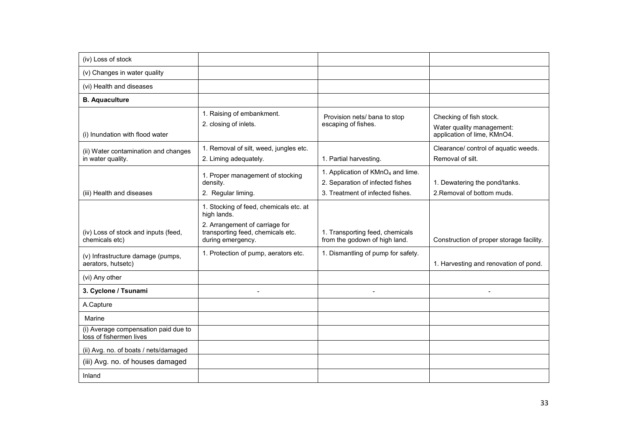| (iv) Loss of stock                                              |                                                                                                                                                   |                                                                                                                       |                                                                                     |
|-----------------------------------------------------------------|---------------------------------------------------------------------------------------------------------------------------------------------------|-----------------------------------------------------------------------------------------------------------------------|-------------------------------------------------------------------------------------|
| (v) Changes in water quality                                    |                                                                                                                                                   |                                                                                                                       |                                                                                     |
| (vi) Health and diseases                                        |                                                                                                                                                   |                                                                                                                       |                                                                                     |
| <b>B.</b> Aquaculture                                           |                                                                                                                                                   |                                                                                                                       |                                                                                     |
| (i) Inundation with flood water                                 | 1. Raising of embankment.<br>2. closing of inlets.                                                                                                | Provision nets/ bana to stop<br>escaping of fishes.                                                                   | Checking of fish stock.<br>Water quality management:<br>application of lime, KMnO4. |
| (ii) Water contamination and changes<br>in water quality.       | 1. Removal of silt, weed, jungles etc.<br>2. Liming adequately.                                                                                   | 1. Partial harvesting.                                                                                                | Clearance/ control of aquatic weeds.<br>Removal of silt.                            |
| (iii) Health and diseases                                       | 1. Proper management of stocking<br>density.<br>2. Regular liming.                                                                                | 1. Application of KMnO <sub>4</sub> and lime.<br>2. Separation of infected fishes<br>3. Treatment of infected fishes. | 1. Dewatering the pond/tanks.<br>2. Removal of bottom muds.                         |
| (iv) Loss of stock and inputs (feed,<br>chemicals etc)          | 1. Stocking of feed, chemicals etc. at<br>high lands.<br>2. Arrangement of carriage for<br>transporting feed, chemicals etc.<br>during emergency. | 1. Transporting feed, chemicals<br>from the godown of high land.                                                      | Construction of proper storage facility.                                            |
| (v) Infrastructure damage (pumps,<br>aerators, hutsetc)         | 1. Protection of pump, aerators etc.                                                                                                              | 1. Dismantling of pump for safety.                                                                                    | 1. Harvesting and renovation of pond.                                               |
| (vi) Any other                                                  |                                                                                                                                                   |                                                                                                                       |                                                                                     |
| 3. Cyclone / Tsunami                                            |                                                                                                                                                   |                                                                                                                       |                                                                                     |
| A.Capture                                                       |                                                                                                                                                   |                                                                                                                       |                                                                                     |
| Marine                                                          |                                                                                                                                                   |                                                                                                                       |                                                                                     |
| (i) Average compensation paid due to<br>loss of fishermen lives |                                                                                                                                                   |                                                                                                                       |                                                                                     |
| (ii) Avg. no. of boats / nets/damaged                           |                                                                                                                                                   |                                                                                                                       |                                                                                     |
| (iii) Avg. no. of houses damaged                                |                                                                                                                                                   |                                                                                                                       |                                                                                     |
| Inland                                                          |                                                                                                                                                   |                                                                                                                       |                                                                                     |